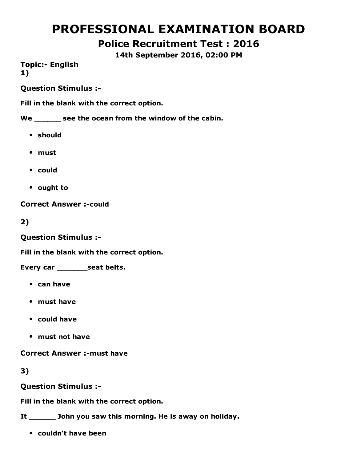# PROFESSIONAL EXAMINATION BOARD

Police Recruitment Test : 2016

14th September 2016, 02:00 PM

**Topic:- English** 1)

Question Stimulus :

Fill in the blank with the correct option.

We \_\_\_\_\_\_\_ see the ocean from the window of the cabin.

- should
- must
- could
- ought to

**Correct Answer :- could** 

2)

Question Stimulus :

Fill in the blank with the correct option.

Every car \_\_\_\_\_\_\_\_\_\_\_seat belts.

- can have
- must have
- could have
- must not have

**Correct Answer :- must have** 

3)

Question Stimulus :

Fill in the blank with the correct option.

It \_\_\_\_\_\_ John you saw this morning. He is away on holiday.

• couldn't have been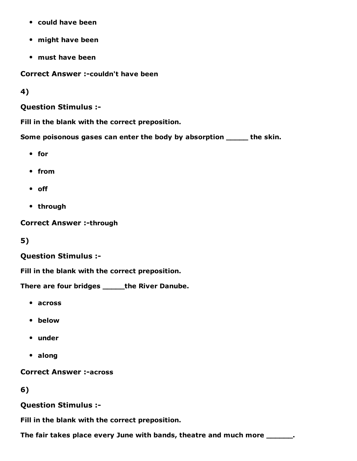- could have been
- might have been
- must have been

**Correct Answer :-couldn't have been** 

4)

Question Stimulus :

Fill in the blank with the correct preposition.

Some poisonous gases can enter the body by absorption \_\_\_\_\_ the skin.

- for
- from
- off
- through

**Correct Answer :-through** 

5)

#### Question Stimulus :

Fill in the blank with the correct preposition.

There are four bridges \_\_\_\_\_the River Danube.

- across
- below
- under
- along

**Correct Answer :-across** 

6)

Question Stimulus :

Fill in the blank with the correct preposition.

The fair takes place every June with bands, theatre and much more \_\_\_\_\_\_.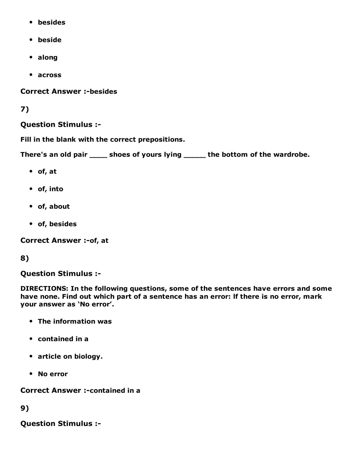- besides
- beside
- along
- across

**Correct Answer :-besides** 

#### 7)

#### Question Stimulus :

Fill in the blank with the correct prepositions.

There's an old pair \_\_\_\_ shoes of yours lying \_\_\_\_\_ the bottom of the wardrobe.

- $\bullet$  of, at
- of, into
- of, about
- of, besides

Correct Answer :- of, at

#### 8)

Question Stimulus :

DIRECTIONS: In the following questions, some of the sentences have errors and some have none. Find out which part of a sentence has an error: lf there is no error, mark your answer as 'No error'.

- The information was
- contained in a
- article on biology.
- No error

**Correct Answer :-contained in a** 

9)

Question Stimulus :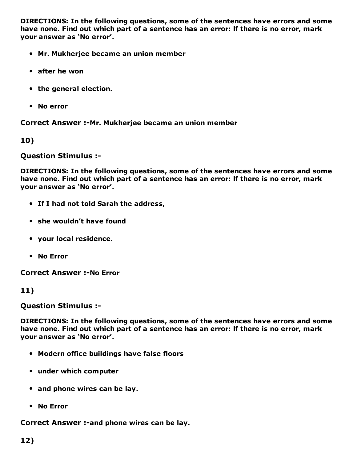DIRECTIONS: In the following questions, some of the sentences have errors and some have none. Find out which part of a sentence has an error: lf there is no error, mark your answer as 'No error'.

- Mr. Mukherjee became an union member
- after he won
- the general election.
- No error

Correct Answer :- Mr. Mukherjee became an union member

10)

Question Stimulus :

DIRECTIONS: In the following questions, some of the sentences have errors and some have none. Find out which part of a sentence has an error: lf there is no error, mark your answer as 'No error'.

- If I had not told Sarah the address,
- she wouldn't have found
- your local residence.
- No Error

**Correct Answer :-No Error** 

11)

Question Stimulus :

DIRECTIONS: In the following questions, some of the sentences have errors and some have none. Find out which part of a sentence has an error: lf there is no error, mark your answer as 'No error'.

- Modern office buildings have false floors
- under which computer
- and phone wires can be lay.
- No Error

Correct Answer :- and phone wires can be lay.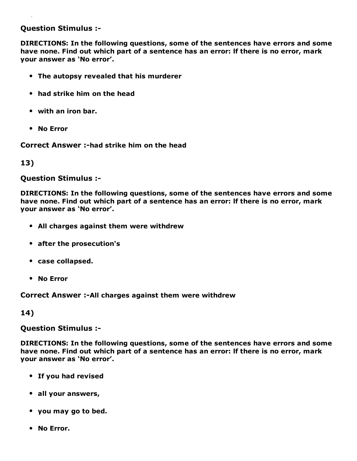#### Question Stimulus :

DIRECTIONS: In the following questions, some of the sentences have errors and some have none. Find out which part of a sentence has an error: lf there is no error, mark your answer as 'No error'.

- The autopsy revealed that his murderer
- had strike him on the head
- with an iron bar.
- No Error

Correct Answer :-had strike him on the head

#### 13)

Question Stimulus :

DIRECTIONS: In the following questions, some of the sentences have errors and some have none. Find out which part of a sentence has an error: lf there is no error, mark your answer as 'No error'.

- All charges against them were withdrew
- after the prosecution's
- case collapsed.
- No Error

Correct Answer :-All charges against them were withdrew

14)

Question Stimulus :

DIRECTIONS: In the following questions, some of the sentences have errors and some have none. Find out which part of a sentence has an error: lf there is no error, mark your answer as 'No error'.

- If you had revised
- all your answers,
- you may go to bed.
- No Error.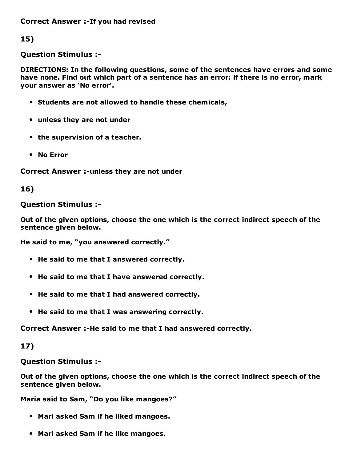Correct Answer :-If you had revised

15)

Question Stimulus :

DIRECTIONS: In the following questions, some of the sentences have errors and some have none. Find out which part of a sentence has an error: lf there is no error, mark your answer as 'No error'.

- Students are not allowed to handle these chemicals,
- unless they are not under
- the supervision of a teacher.
- No Error

Correct Answer :-unless they are not under

16)

#### Question Stimulus :

Out of the given options, choose the one which is the correct indirect speech of the sentence given below.

He said to me, "you answered correctly."

- He said to me that I answered correctly.
- He said to me that I have answered correctly.
- He said to me that I had answered correctly.
- He said to me that I was answering correctly.

Correct Answer :-He said to me that I had answered correctly.

#### 17)

Question Stimulus :

Out of the given options, choose the one which is the correct indirect speech of the sentence given below.

Maria said to Sam, "Do you like mangoes?"

- Mari asked Sam if he liked mangoes.
- Mari asked Sam if he like mangoes.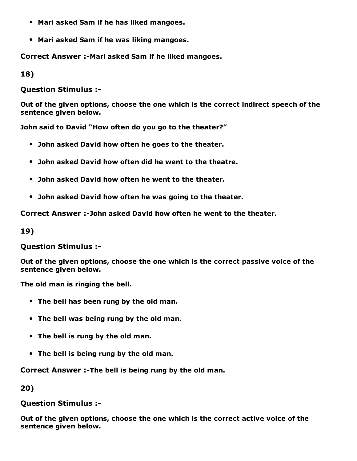- Mari asked Sam if he has liked mangoes.
- Mari asked Sam if he was liking mangoes.

Correct Answer :- Mari asked Sam if he liked mangoes.

18)

Question Stimulus :

Out of the given options, choose the one which is the correct indirect speech of the sentence given below.

John said to David "How often do you go to the theater?"

- John asked David how often he goes to the theater.
- John asked David how often did he went to the theatre.
- John asked David how often he went to the theater.
- John asked David how often he was going to the theater.

Correct Answer :-John asked David how often he went to the theater.

19)

#### Question Stimulus :

Out of the given options, choose the one which is the correct passive voice of the sentence given below.

The old man is ringing the bell.

- The bell has been rung by the old man.
- The bell was being rung by the old man.
- The bell is rung by the old man.
- The bell is being rung by the old man.

Correct Answer :-The bell is being rung by the old man.

20)

Question Stimulus :

Out of the given options, choose the one which is the correct active voice of the sentence given below.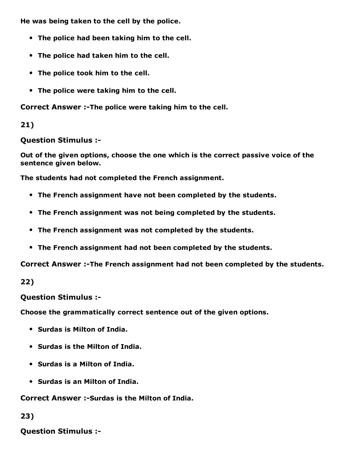He was being taken to the cell by the police.

- The police had been taking him to the cell.
- The police had taken him to the cell.
- The police took him to the cell.
- The police were taking him to the cell.

Correct Answer :-The police were taking him to the cell.

21)

Question Stimulus :

Out of the given options, choose the one which is the correct passive voice of the sentence given below.

The students had not completed the French assignment.

- The French assignment have not been completed by the students.
- The French assignment was not being completed by the students.
- The French assignment was not completed by the students.
- The French assignment had not been completed by the students.

Correct Answer :-The French assignment had not been completed by the students.

22)

Question Stimulus :

Choose the grammatically correct sentence out of the given options.

- Surdas is Milton of India.
- Surdas is the Milton of India.
- Surdas is a Milton of India.
- Surdas is an Milton of India.

Correct Answer :-Surdas is the Milton of India.

23)

Question Stimulus :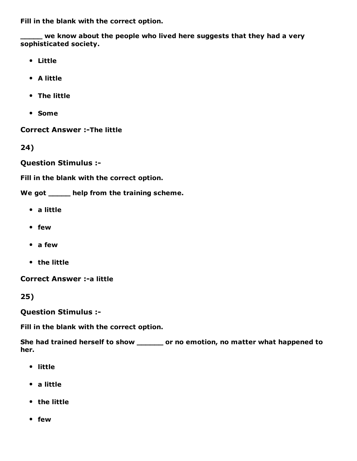Fill in the blank with the correct option.

\_\_\_\_\_ we know about the people who lived here suggests that they had a very sophisticated society.

- Little
- A little
- The little
- Some

**Correct Answer :- The little** 

24)

Question Stimulus :

Fill in the blank with the correct option.

We got \_\_\_\_\_ help from the training scheme.

- a little
- few
- a few
- the little

**Correct Answer :- a little** 

25)

Question Stimulus :

Fill in the blank with the correct option.

She had trained herself to show \_\_\_\_\_\_\_ or no emotion, no matter what happened to her.

- little
- a little
- the little
- few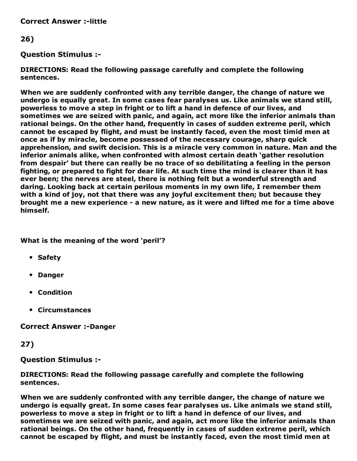**Correct Answer :-little** 

#### 26)

Question Stimulus :

DIRECTIONS: Read the following passage carefully and complete the following sentences.

When we are suddenly confronted with any terrible danger, the change of nature we undergo is equally great. In some cases fear paralyses us. Like animals we stand still, powerless to move a step in fright or to lift a hand in defence of our lives, and sometimes we are seized with panic, and again, act more like the inferior animals than rational beings. On the other hand, frequently in cases of sudden extreme peril, which cannot be escaped by flight, and must be instantly faced, even the most timid men at once as if by miracle, become possessed of the necessary courage, sharp quick apprehension, and swift decision. This is a miracle very common in nature. Man and the inferior animals alike, when confronted with almost certain death 'gather resolution from despair' but there can really be no trace of so debilitating a feeling in the person fighting, or prepared to fight for dear life. At such time the mind is clearer than it has ever been; the nerves are steel, there is nothing felt but a wonderful strength and daring. Looking back at certain perilous moments in my own life, I remember them with a kind of joy, not that there was any joyful excitement then; but because they brought me a new experience - a new nature, as it were and lifted me for a time above himself.

What is the meaning of the word 'peril'?

- Safety
- Danger
- Condition
- Circumstances

Correct Answer :-Danger

27)

Question Stimulus :

DIRECTIONS: Read the following passage carefully and complete the following sentences.

When we are suddenly confronted with any terrible danger, the change of nature we undergo is equally great. In some cases fear paralyses us. Like animals we stand still, powerless to move a step in fright or to lift a hand in defence of our lives, and sometimes we are seized with panic, and again, act more like the inferior animals than rational beings. On the other hand, frequently in cases of sudden extreme peril, which cannot be escaped by flight, and must be instantly faced, even the most timid men at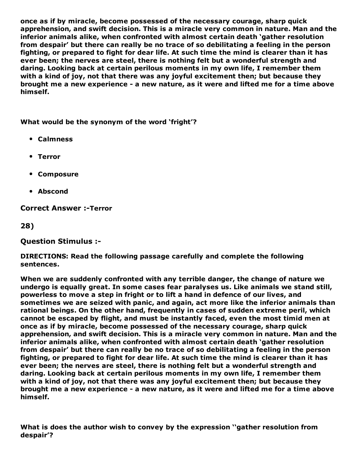once as if by miracle, become possessed of the necessary courage, sharp quick apprehension, and swift decision. This is a miracle very common in nature. Man and the inferior animals alike, when confronted with almost certain death 'gather resolution from despair' but there can really be no trace of so debilitating a feeling in the person fighting, or prepared to fight for dear life. At such time the mind is clearer than it has ever been; the nerves are steel, there is nothing felt but a wonderful strength and daring. Looking back at certain perilous moments in my own life, I remember them with a kind of joy, not that there was any joyful excitement then; but because they brought me a new experience - a new nature, as it were and lifted me for a time above himself.

What would be the synonym of the word 'fright'?

- Calmness
- Terror
- Composure
- Abscond

**Correct Answer :-Terror** 

28)

#### Question Stimulus :

DIRECTIONS: Read the following passage carefully and complete the following sentences.

When we are suddenly confronted with any terrible danger, the change of nature we undergo is equally great. In some cases fear paralyses us. Like animals we stand still, powerless to move a step in fright or to lift a hand in defence of our lives, and sometimes we are seized with panic, and again, act more like the inferior animals than rational beings. On the other hand, frequently in cases of sudden extreme peril, which cannot be escaped by flight, and must be instantly faced, even the most timid men at once as if by miracle, become possessed of the necessary courage, sharp quick apprehension, and swift decision. This is a miracle very common in nature. Man and the inferior animals alike, when confronted with almost certain death 'gather resolution from despair' but there can really be no trace of so debilitating a feeling in the person fighting, or prepared to fight for dear life. At such time the mind is clearer than it has ever been; the nerves are steel, there is nothing felt but a wonderful strength and daring. Looking back at certain perilous moments in my own life, I remember them with a kind of joy, not that there was any joyful excitement then; but because they brought me a new experience - a new nature, as it were and lifted me for a time above himself.

What is does the author wish to convey by the expression ''gather resolution from despair'?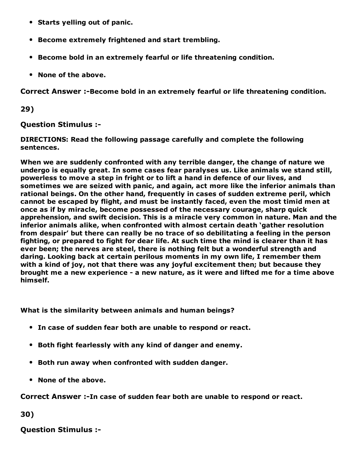- Starts yelling out of panic.
- Become extremely frightened and start trembling.
- Become bold in an extremely fearful or life threatening condition.
- None of the above.

Correct Answer :-Become bold in an extremely fearful or life threatening condition.

29)

#### Question Stimulus :

DIRECTIONS: Read the following passage carefully and complete the following sentences.

When we are suddenly confronted with any terrible danger, the change of nature we undergo is equally great. In some cases fear paralyses us. Like animals we stand still, powerless to move a step in fright or to lift a hand in defence of our lives, and sometimes we are seized with panic, and again, act more like the inferior animals than rational beings. On the other hand, frequently in cases of sudden extreme peril, which cannot be escaped by flight, and must be instantly faced, even the most timid men at once as if by miracle, become possessed of the necessary courage, sharp quick apprehension, and swift decision. This is a miracle very common in nature. Man and the inferior animals alike, when confronted with almost certain death 'gather resolution from despair' but there can really be no trace of so debilitating a feeling in the person fighting, or prepared to fight for dear life. At such time the mind is clearer than it has ever been; the nerves are steel, there is nothing felt but a wonderful strength and daring. Looking back at certain perilous moments in my own life, I remember them with a kind of joy, not that there was any joyful excitement then; but because they brought me a new experience - a new nature, as it were and lifted me for a time above himself.

What is the similarity between animals and human beings?

- In case of sudden fear both are unable to respond or react.
- Both fight fearlessly with any kind of danger and enemy.
- Both run away when confronted with sudden danger.
- None of the above.

Correct Answer :-In case of sudden fear both are unable to respond or react.

30)

Question Stimulus :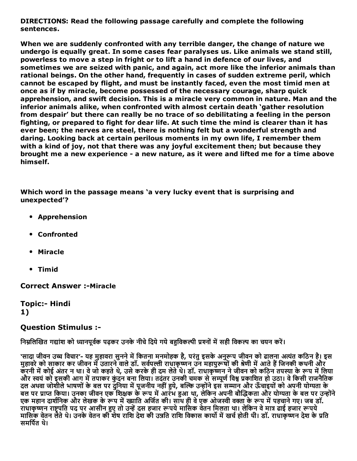DIRECTIONS: Read the following passage carefully and complete the following sentences.

When we are suddenly confronted with any terrible danger, the change of nature we undergo is equally great. In some cases fear paralyses us. Like animals we stand still, powerless to move a step in fright or to lift a hand in defence of our lives, and sometimes we are seized with panic, and again, act more like the inferior animals than rational beings. On the other hand, frequently in cases of sudden extreme peril, which cannot be escaped by flight, and must be instantly faced, even the most timid men at once as if by miracle, become possessed of the necessary courage, sharp quick apprehension, and swift decision. This is a miracle very common in nature. Man and the inferior animals alike, when confronted with almost certain death 'gather resolution from despair' but there can really be no trace of so debilitating a feeling in the person fighting, or prepared to fight for dear life. At such time the mind is clearer than it has ever been; the nerves are steel, there is nothing felt but a wonderful strength and daring. Looking back at certain perilous moments in my own life, I remember them with a kind of joy, not that there was any joyful excitement then; but because they brought me a new experience - a new nature, as it were and lifted me for a time above himself.

Which word in the passage means 'a very lucky event that is surprising and unexpected'?

- Apprehension
- Confronted
- Miracle
- Timid

**Correct Answer :-Miracle** 

**Topic:- Hindi** 1)

#### Question Stimulus :

निम्नलिखित गद्यांश को ध्यानपूर्वक पढ़कर उनके नीचे दिये गये बहुविकल्पी प्रश्नों में सही विकल्प का चयन करें।

'सादा जीवन उच्च विचार'- यह मुहावरा सुनने में कितना मनमोहक है, परंतु इसके अनुरूप जीवन को ढालना अत्यंत कठिन है। इस मुहावरे को साकार कर जीवन में उतारने वाले डॉ. सर्वपल्ली राधाकृष्णन उन महापुरूषों की श्रेणी में आते हैं जिनकी कथनी और करनी में कोई अंतर न था। वे जो कहते थे, उसे करके ही दम लेते थे। डॉ. राधाकृष्णन ने जीवन को कठिन तपस्या के रूप में लिया और स्वयं को इसकी आग में तपाकर कुंदन बना लिया। तदंतर उनकी चमक से सम्पूर्ण विश्व प्रकाशित हो उठा। वे किसी राजनैतिक दल अथवा जोशीले भाषणों के बल पर दुनिया में पूजनीय नहीं हुये, बल्कि उन्होंने इस सम्मान और ऊँचाइयों को अपनी योग्यता के बल पर प्राप्त किया। उनका जीवन एक शिक्षक के रूप में आरंभ हुआ था, लेकिन अपनी बौद्धिकता और योग्यता के बल पर उन्होन एक महान दार्शनिक और लेखक के रूप में ख्याति अर्जित की। साथ ही वे एक ओजस्वी वक्ता के रूप में पहचाने गए। जब डॉ. राधाकृष्णन राष्ट्रपति पद पर आसीन हुए तो उन्हें दस हजार रूपये मासिक वेतन मिलता था। लेकिन वे मात्र ढाई हजार रूपये मासिक वेतन लेते थे। उनके वेतन की शेष राशि देश की उन्नति राशि विकास कार्यो में खर्च होती थी। डॉ. राधाकृष्णन देश के प्रति समर्पित थे।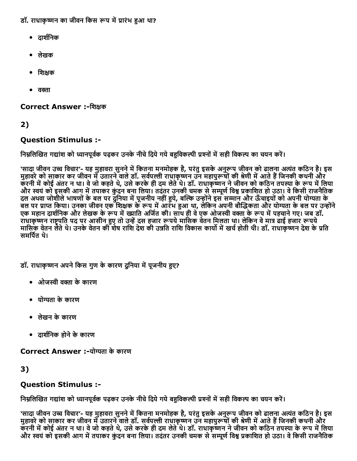डॉ. राधाकृष्णन का जीवन किस रूप में प्रारंभ हुआ था?

- दार्शनिक
- लेखक
- शिक्षक
- $\bullet$  वक्ता

Correct Answer :-शिक्षक

### 2)

#### Question Stimulus :

निम्नलिखित गद्यांश को ध्यानपूर्वक पढ़कर उनके नीचे दिये गये बहुविकल्पी प्रश्नों में सही विकल्प का चयन करें।

'सादा जीवन उच्च विचार'- यह मुहावरा सुनने में कितना मनमोहक है, परंतु इसके अनुरूप जीवन को ढालना अत्यंत कठिन है। इस सादने को उत्तर कर जीवन में उतारने वाले डॉ. सर्वपल्ली राधाकृष्णन उन महापुरूषों की श्रेणी में आते हैं जिनकी कथनी और करनी में कोई अंतर न था। वे जो कहते थे, उसे करके ही दम लेते थे। डॉ. राधाकृष्णन ने जीवन को कठिन तपस्या के रूप में लिया और स्वयं को इसकी आग में तपाकर कुंदन बना लिया। तदंतर उनकी चमक से सम्पूर्ण विश्व प्रकाशित हो उठा। वे किसी राजनैतिक दल अथवा जोशीले भाषणों के बल पर दुनिया में पूजनीय नहीं हुये, बल्कि उन्होंने इस सम्मान और ऊँचाइयों को अपनी योग्यता के बल पर प्राप्त किया। उनका जीवन एक शिक्षक के रूप में आरंभ हुआ था, लेकिन अपनी बौद्धिकता और योग्यता के बल पर उन्होन एक महान दार्शनिक और लेखक के रूप में ख्याति अर्जित की। साथ ही वे एक ओजस्वी वक्ता के रूप में पहचाने गए। जब डॉ. राधाकृष्णन राष्ट्रपति पद पर आसीन हुए तो उन्हें दस हजार रूपये मासिक वेतन मिलता था। लेकिन वे मात्र ढाई हजार रूपय मासिक वेतन लेते थे। उनके वेतन की शेष राशि देश की उन्नति राशि विकास कार्या में खर्च होती थी। डॉ. राधाकृष्णन देश के प्रति समर्पित थे।

डॉ. राधाकृष्णन अपने किस गुण के कारण दुनिया में पूजनीय हुए?

- ओज㙲Āी वꛟा केकारण
- यो㫯ता केकारण
- लेखन केकारण
- दार्शनिक होने के कारण

Correct Answer :-योग्यता के कारण

#### 3)

#### Question Stimulus :

निम्नलिखित गद्यांश को ध्यानपूर्वक पढ़कर उनके नीचे दिये गये बहुविकल्पी प्रश्नों में सही विकल्प का चयन करें।

'सादा जीवन उच्च विचार'- यह मुहावरा सुनने में कितना मनमोहक है, परंतु इसके अनुरूप जीवन को ढालना अत्यंत कठिन है। इस मुहावरे को साकार कर जीवन में उतारने वाले डॉ. सर्वपल्ली राधाकृष्णन उन महापुरूषों की श्रेणी में आते हैं जिनकी कथनी और करनी में कोई अंतर न था। वे जो कहते थे, उसे करके ही दम लेते थे। डॉ. राधाकृष्णन ने जीवन को कठिन तपस्या के रूप में लिया और स्वयं को इसकी आग में तपाकर कंदन बना लिया। तदंतर उनकी चमक से सम्पर्ण विश्व प्रकाशित हो उठा। वे किसी राजनैतिक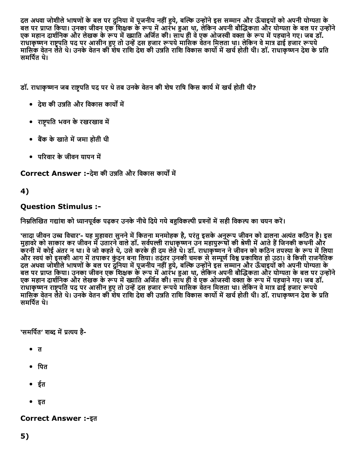दल अथवा जोशीले भाषणों के बल पर दुनिया में पूजनीय नहीं हुये, बल्कि उन्होंने इस सम्मान और ऊँचाइयों को अपनी योग्यता के बल पर प्राप्त किया। उनका जीवन एक शिक्षक के रूप में आरंभ हुआ था, लेकिन अपनी बौद्धिकता और योग्यता के बल पर उन्होन एक महान दार्शनिक और लेखक के रूप में ख्याति अर्जित की। साथ ही वे एक ओजस्वी वक्ता के रूप में पहचाने गए। जब डॉ. राधाकृष्णन राष्ट्रपति पद पर आसीन हुए तो उन्हें दस हजार रूपये मासिक वेतन मिलता था। लेकिन वे मात्र ढाई हजार रूपय मासिक वेतन लेते थे। उनके वेतन की शेष राशि देश की उन्नति राशि विकास कार्या में खर्च होती थी। डॉ. राधाकृष्णन देश के प्रति समर्पित थे।

डॉ. राधाकृष्णन जब राष्ट्रपति पद पर थे तब उनके वेतन की शेष राषि किस कार्य में खर्च होती थी?

- देश की उन्नति और विकास कार्यों में
- राष्ट्रपति भवन के रखरखाव में
- बैंक के खाते में जमा होती थी
- परिवार के जीवन यापन में

Correct Answer :-देश की उन्नति और विकास कार्यों में

#### 4)

#### Question Stimulus :

निम्नलिखित गद्यांश को ध्यानपूर्वक पढ़कर उनके नीचे दिये गये बहुविकल्पी प्रश्नों में सही विकल्प का चयन करें।

'सादा जीवन उच्च विचार'- यह मुहावरा सुनने में कितना मनमोहक है, परंतु इसके अनुरूप जीवन को ढालना अत्यंत कठिन है। इस मुहावरे को साकार कर जीवन में उतारने वाले डॉ. सर्वपल्ली राधाकृष्णन उन महापुरूषों की श्रेणी में आते हैं जिनकी कथनी और करनी में कोई अंतर न था। वे जो कहते थे, उसे करके ही दम लेते थे। डॉ. राधाकृष्णन ने जीवन को कठिन तपस्या के रूप में लिया और स्वयं को इसकी आग में तपाकर कुंदन बना लिया। तदंतर उनकी चमक से सम्पूर्ण विश्व प्रकाशित हो उठा। वे किसी राजनैतिक दल अथवा जोशीले भाषणों के बल पर दुनिया में पूजनीय नहीं हुये, बल्कि उन्होंने इस सम्मान और ऊँचाइयों को अपनी योग्यता के बल पर प्राप्त किया। उनका जीवन एक शिक्षक के रूप में आरंभ हुआ था, लेकिन अपनी बौद्धिकता और योग्यता के बल पर उन्होन या के प्राप्त करने का बार की साथ है के रूप में ख्याति अर्जित की। साथ ही वे एक ओजस्वी वक्ता के रूप में पहचाने गए। जब डॉ. राधाकृष्णन राष्ट्रपति पद पर आसीन हुए तो उन्हें दस हजार रूपये मासिक वेतन मिलता था। लेकिन वे मात्र ढाई हजार रूपये मासिक वेतन लेते थे। उनके वेतन की शेष राशि देश की उन्नति राशि विकास कार्यो में खर्च होती थी। डॉ. राधाकृष्णन देश के प्रति समर्पित थे।

'समर्पित' शब्द में प्रत्यय है-

- त
- ∙ पित
- ईत
- इत

#### Correct Answer :-इत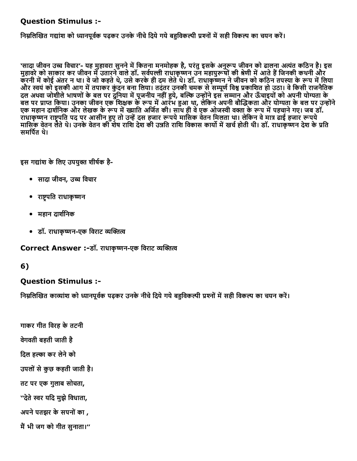#### Question Stimulus :

निम्नलिखित गद्यांश को ध्यानपूर्वक पढ़कर उनके नीचे दिये गये बहविकल्पी प्रश्नों में सही विकल्प का चयन करें।

'सादा जीवन उच्च विचार'- यह मुहावरा सुनने में कितना मनमोहक है, परंतु इसके अनुरूप जीवन को ढालना अत्यंत कठिन है। इस मुहावरे को साकार कर जीवन में उतारने वाले डॉ. सर्वपल्ली राधाकृष्णन उन महापुरूषों की श्रेणी में आते हैं जिनकी कथनी और करनी में कोई अंतर न था। वे जो कहते थे, उसे करके ही दम लेते थे। डॉ. राधाकृष्णन ने जीवन को कठिन तपस्या के रूप में लिया और स्वयं को इसकी आग में तपाकर कुंदन बना लिया। तदंतर उनकी चमक से सम्पूर्ण विश्व प्रकाशित हो उठा। वे किसी राजनैतिक दल अथवा जोशीले भाषणों के बल पर दुनिया में पूजनीय नहीं हुये, बल्कि उन्होंने इस सम्मान और ऊँचाइयों को अपनी योग्यता के बल पर प्राप्त किया। उनका जीवन एक शिक्षक के रूप में आरंभ हुआ था, लेकिन अपनी बौद्धिकता और योग्यता के बल पर उन्होंन एक महान दाशेनिक और लेखक के रूप में ख्याति अर्जित की। साथ ही वे एक ओजस्वी वक्ता के रूप में पहचाने गए। जब डॉ. राधाकृष्णन राष्ट्रपति पद पर आसीन हुए तो उन्हें दस हजार रूपये मासिक वेतन मिलता था। लेकिन वे मात्र ढाई हजार रूपय मासिक वेतन लेते थे। उनके वेतन की शेष राशि देश की उन्नति राशि विकास कार्या में खर्च होती थी। डॉ. राधाकृष्णन देश के प्रति समर्पित थे।

इस गद्यांश के लिए उपयुक्त शीर्षक है-

- सादा जीवन, उच्च विचार
- राष्ट्रपति राधाकृष्णन
- महान दार्शनिक
- डॉ. राधाकष्णन-एक विराट व्यक्तित्व

Correct Answer :-डॉ. राधाकृष्णन-एक विराट व्यक्तित्व

#### 6)

#### Question Stimulus :

निम्नलिखित काव्यांश को ध्यानपूर्वक पढ़कर उनके नीचे दिये गये बहविकल्पी प्रश्नों में सही विकल्प का चयन करें।

गाकर गीत िवरह केतटनी

वगेवती बहती जाती है

दिल हल्का कर लेने को

उपलों से कुछ कहती जाती है।

तट पर एक गुलाब सोचता,

''देते स्वर यदि मुझे विधाता,

अपनेपतझर केसपनोंका ,

मैं भी जग को गीत सनाता।''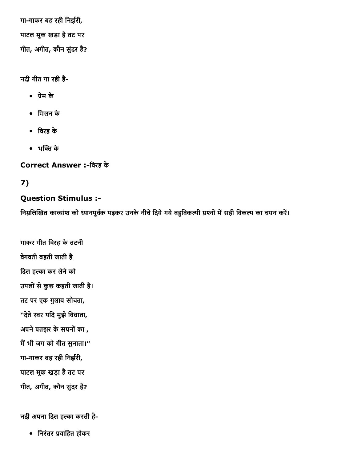गा-गाकर बह रही निर्झरी, पाटल मूक खड़ा हैतट पर गीत, अगीत, कौन सुंदर है?

नदी गीत गा रही है

- ेम के
- िमलन के
- िवरह के
- भ芤ꛟ के

Correct Answer :िवरह के

## 7)

## Question Stimulus :

निम्नलिखित काव्यांश को ध्यानपूर्वक पढ़कर उनके नीचे दिये गये बहुविकल्पी प्रश्नों में सही विकल्प का चयन करें।

गाकर गीत िवरह केतटनी वगेवती बहती जाती है दिल हल्का कर लेने को उपलों से कुछ कहती जाती है। तट पर एक गुलाब सोचता, ''देते स्वर यदि मुझे विधाता, अपने पतझर के सपनों का , मैं भी जग को गीत सुनाता।'' गा-गाकर बह रही निर्झरी, पाटल मूक खड़ा हैतट पर गीत, अगीत, कौन सुंदर है?

नदी अपना दिल हल्का करती है-

िनरंतर वािहत होकर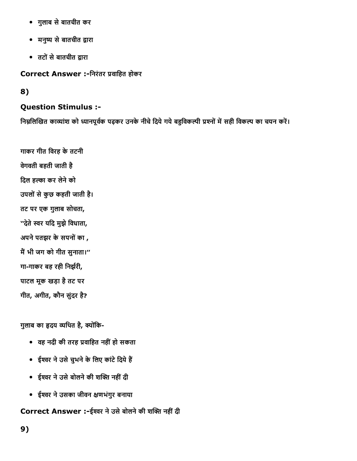- गुलाब सेबातचीत कर
- मनुष्य से बातचीत द्वारा
- तटोंसेबातचीत 揠ारा

Correct Answer :-निरंतर प्रवाहित होकर

8)

### Question Stimulus :

निम्नलिखित काव्यांश को ध्यानपूर्वक पढ़कर उनके नीचे दिये गये बहुविकल्पी प्रश्नों में सही विकल्प का चयन करें।

गाकर गीत िवरह केतटनी वगेवती बहती जाती है दिल हल्का कर लेने को उपलों से कुछ कहती जाती है। तट पर एक गुलाब सोचता, ''देते स्वर यदि मुझे विधाता, अपने पतझर के सपनों का , मैं भी जग को गीत सुनाता।'' गा-गाकर बह रही निर्झरी, पाटल मूक खड़ा हैतट पर गीत, अगीत, कौन सुंदर है?

गुलाब का हृदय व्यथित है, क्योंकि-

- वह नदी की तरह वािहत नहींहो सकता
- ईश्वर ने उसे चुभने के लिए कांटे दिये हैं
- ईश्वर ने उसे बोलने की शक्ति नहीं दी
- ईश्वर ने उसका जीवन क्षणभंगुर बनाया

Correct Answer :-ईश्वर ने उसे बोलने की शक्ति नहीं दी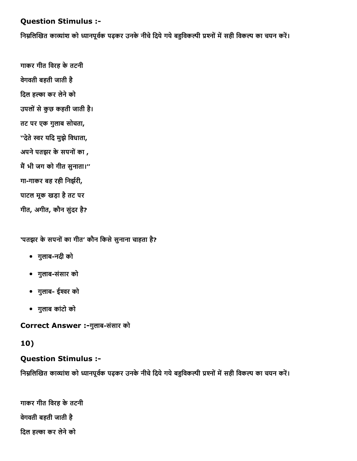#### Question Stimulus :

निम्नलिखित काव्यांश को ध्यानपूर्वक पढ़कर उनके नीचे दिये गये बहुविकल्पी प्रश्नों में सही विकल्प का चयन करें।

गाकर गीत िवरह केतटनी वगेवती बहती जाती है दिल हल्का कर लेने को उपलों से कुछ कहती जाती है। तट पर एक गुलाब सोचता, ''देते स्वर यदि मुझे विधाता, अपने पतझर के सपनों का , मैं भी जग को गीत सुनाता।" गा-गाकर बह रही निर्झरी, पाटल मूक खड़ा हैतट पर गीत, अगीत, कौन सुंदर है?

'पतझर के सपनों का गीत' कौन किसे सुनाना चाहता है?

- गुलाबनदी को
- गुलाब-संसार को
- गुलाब- ईश्वर को
- गुलाब कांटो को

Correct Answer :-गुलाब-संसार को

### 10)

#### Question Stimulus :

निम्नलिखित काव्यांश को ध्यानपूर्वक पढ़कर उनके नीचे दिये गये बहुविकल्पी प्रश्नों में सही विकल्प का चयन करें।

गाकर गीत िवरह केतटनी वगेवती बहती जाती है दिल हल्का कर लेने को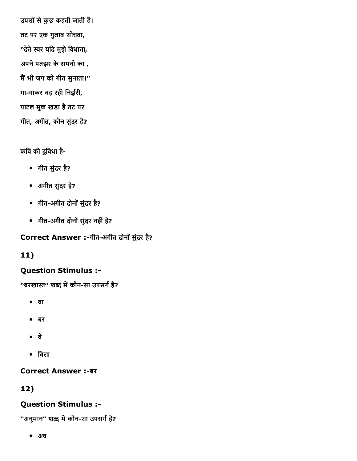उपलों से कुछ कहती जाती है। तट पर एक गुलाब सोचता, ''देते स्वर यदि मुझे विधाता, अपने पतझर के सपनों का , मैं भी जग को गीत सुनाता।'' गा-गाकर बह रही निर्झरी, पाटल मूक खड़ा हैतट पर गीत, अगीत, कौन सुंदर है?

### किव की दुिवधा है

- गीत सुंदर है?
- अगीत सुंदर है?
- गीत-अगीत दोनों सुंदर है?
- गीत-अगीत दोनों सुंदर नहीं है?

## Correct Answer :-गीत-अगीत दोनों सुंदर है?

11)

## Question Stimulus :

''बरखास्त'' शब्द में कौन-सा उपसर्ग है?

- बा
- बर
- बे
- िबला

## **Correct Answer :-बर**

## 12)

## Question Stimulus :

''अनुमान'' शब्द में कौन-सा उपसर्ग है?

अव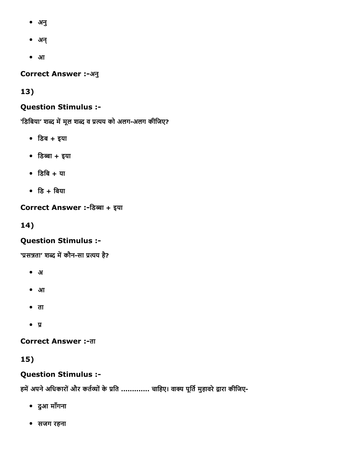- अनु
- अन्
- आ

Correct Answer :-अनु

13)

#### Question Stimulus :

'डिबिया' शब्द में मूल शब्द व प्रत्यय को अलग-अलग कीजिए?

- $\bullet$  डिब $+$  इया
- िड䔀ा + इया
- डिबि $+$  या
- डि $+$  बिया

**Correct Answer :-डिब्बा + इया** 

14)

#### Question Stimulus :

'प्रसन्नता' शब्द में कौन-सा प्रत्यय है?

- अ
- आ
- ता
- $\bullet$  y

Correct Answer :- ता

### 15)

#### Question Stimulus :

हमें अपने अधिकारों और कर्तव्यों के प्रति ............. चाहिए। वाक्य पूर्ति मुहावरे द्वारा कीजिए-

- दुआ माँगना
- सजग रहना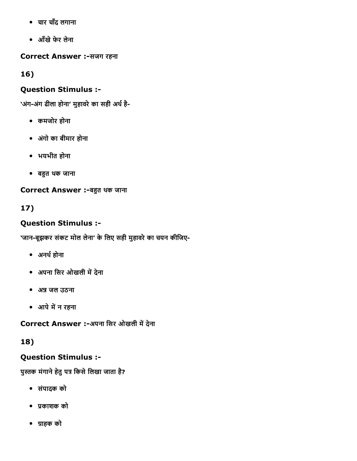- चार चाँद लगाना
- आँखेफेर लेना

Correct Answer :-सजग रहना

16)

### Question Stimulus :

'अंग-अंग ढीला होना' मुहावरे का सही अर्थ है-

- कमजोर होना
- अगंो का बीमार होना
- भयभीत होना
- बत थक जाना

Correct Answer :-बहुत थक जाना

## 17)

## Question Stimulus :

'जान-बूझकर संकट मोल लेना' के लिए सही मुहावरे का चयन कीजिए-

- अनथ檰होना
- अपना सिर ओखली में देना
- अन्न जल उठना
- आपे में न रहना

Correct Answer :-अपना सिर ओखली में देना

## 18)

## Question Stimulus :

पुस्तक मंगाने हेतु पत्र किसे लिखा जाता है?

- संपादक को
- काशक को
- ᫅ाहक को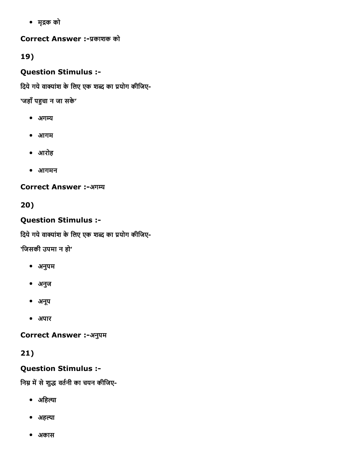मृक को

Correct Answer :-प्रकाशक को

19)

### Question Stimulus :

दिये गये वाक्यांश के लिए एक शब्द का प्रयोग कीजिए-

'जहाँ पहुचा न जा सके'

- अगम्य
- आगम
- आरोह
- आगमन

#### **Correct Answer :-अगम्य**

20)

### Question Stimulus :

दिये गये वाक्यांश के लिए एक शब्द का प्रयोग कीजिए-

'िजसकी उपमा न हो'

- अनुपम
- अनुज
- अनूप
- अपार

Correct Answer :-अनुपम

## 21)

### Question Stimulus :

निम्न में से शुद्ध वर्तनी का चयन कीजिए-

- अहिल्या
- अहल्या
- अकास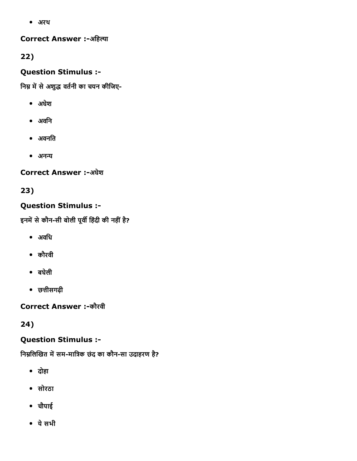अरथ

#### Correct Answer :-अहिल्या

22)

### Question Stimulus :

निम्न में से अशुद्ध वर्तनी का चयन कीजिए-

- अघेश
- अविन
- अवनित
- अनन्य

**Correct Answer :-अघेश** 

23)

### Question Stimulus :

इनमें से कौन-सी बोली पूर्वी हिंदी की नहीं है?

- अविध
- कौरवी
- बघेली
- छᐣĀीसगढ़ी

Correct Answer :-कौरवी

24)

## Question Stimulus :

निम्नलिखित में सम-मात्रिक छंद का कौन-सा उदाहरण है?

- दोहा
- सोरठा
- चौपाई
- येसभी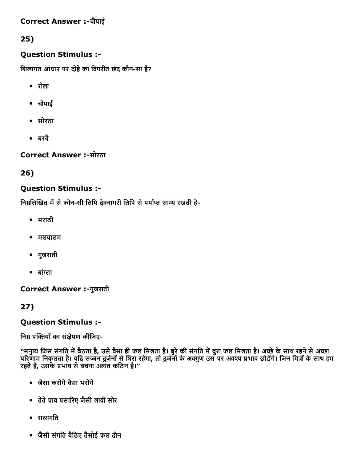#### Correct Answer :चौपाई

### 25)

#### Question Stimulus :

शिल्पगत आधार पर दोहे का विपरीत छंद कौन-सा है?

- रोला
- चौपाई
- सोरठा
- बरवै

**Correct Answer :-सोरठा** 

26)

#### Question Stimulus :

निम्नलिखित में से कौन-सी लिपि देवनागरी लिपि से पर्याप्त साम्य रखती है-

- मराठी
- मलयालम
- गुजराती
- बांग्ला

#### Correct Answer :-गुजराती

27)

#### Question Stimulus :

निम्न पंक्तियों का संक्षेपण कीजिए-

''मनुष्य जिस संगति में बैठता है, उसे वैसा ही फल मिलता है। बुरे की संगति में बुरा फल मिलता है। अच्छे के साथ रहने से अच्छा परिणाम निकलता है। यदि सज्जन दुर्जनों से घिरा रहेगा, तो दुर्जनों के अवगुण उस पर अवश्य प्रभाव छोडेंगे। जिन मित्रों के साथ हम रहते हैं, उसके प्रभाव से बचना अत्यंत कठिन है।''

- जैसा करोगेवसैा भरोगे
- तेतेपाव पसा캣रए जैसी लावी सोर
- सत्संगति
- जैसी संगित बैिठए तैसोई फल दीन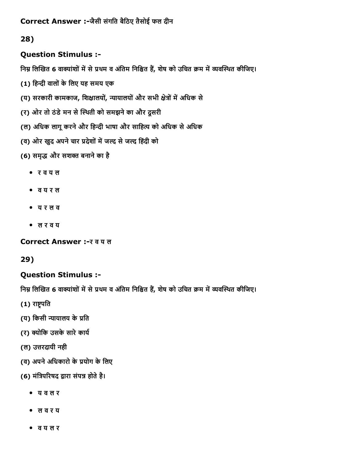Correct Answer :-जैसी संगति बैठिए तैसोई फल दीन

### 28)

#### Question Stimulus :

निम्न लिखित 6 वाक्यांशों में से प्रथम व अंतिम निश्चित हैं, शेष को उचित क्रम में व्यवस्थित कीजिए।

- (1) हिन्दी वालों के लिए यह समय एक
- (य) सरकारी कामकाज, शिक्षालयों, न्यायालयों और सभी क्षेत्रों में अधिक से
- (र) ओर तो ठंडे मन से स्थिती को समझने का और दूसरी
- (ल) अधिक लागू करने और हिन्दी भाषा और साहित्य को अधिक से अधिक
- (व) ओर खुद अपने चार प्रदेशों में जल्द से जल्द हिंदी को
- (6) समृद्ध और सशक्त बनाने का है
	- र व य ल
	- व य र ल
	- य र ल व
	- ल र व य

Correct Answer :- र व य ल

29)

#### Question Stimulus :

निम्न लिखित 6 वाक्यांशों में से प्रथम व अंतिम निश्चित हैं, शेष को उचित क्रम में व्यवस्थित कीजिए।

(1) राष्ट्रपति

- (य) किसी न्यायालय के प्रति
- (र) क्योकि उसके सारे कार्य
- (ल) उत्तरदायी नही
- (व) अपने अधिकारो के प्रयोग के लिए
- (6) मंत्रिपरिषद द्वारा संपन्न होते है।
	- य व ल र
	- ल व र य
	- व य ल र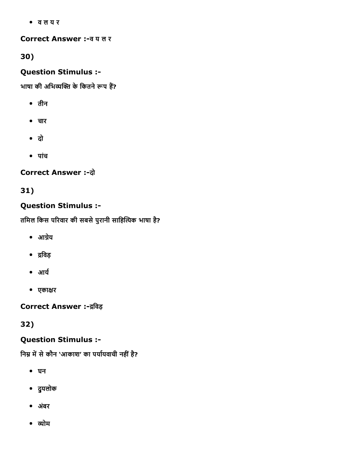व ल य र

Correct Answer :व य ल र

30)

### Question Stimulus :

भाषा की अभिव्यक्ति के कितने रूप हैं?

- तीन
- चार
- दो
- पांच

### **Correct Answer :- दो**

## 31)

### Question Stimulus :

तमिल किस परिवार की सबसे पुरानी साहित्यिक भाषा है?

- आ苬ेय
- द्रविड़
- आर्य
- एका츰र

Correct Answer :-द्रविड़

32)

### Question Stimulus :

निम्न में से कौन 'आकाश' का पर्यायवाची नहीं है?

- घन
- द्ुयलोक
- अबंर
- व्योम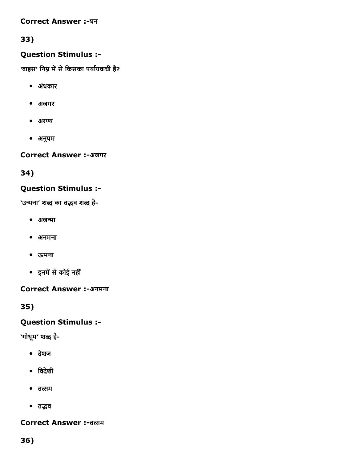#### Correct Answer :-घन

## 33)

#### Question Stimulus :

'वाहस' निम्न में से किसका पर्यायवाची है?

- अधंकार
- अजगर
- अरण्य
- अनुपम

**Correct Answer :-अजगर** 

34)

### Question Stimulus :

'उन्मना' शब्द का तद्भव शब्द है-

- अजन्मा
- अनमना
- ऊमना
- इनमें से कोई नहीं

Correct Answer :-अनमना

35)

### Question Stimulus :

'गोधूम' शब्द है-

- देशज
- िवदेशी
- $\bullet$  तत्सम
- तद्भव

#### Correct Answer :- तत्सम

36)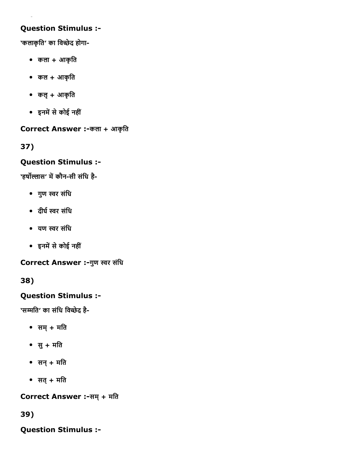#### Question Stimulus :

'कलाकृति' का विच्छेद होगा-

- कला + आकृित
- कल + आकृित
- कलृ+ आकृित
- इनमें से कोई नहीं

**Correct Answer :-कला + आकृति** 

37)

#### Question Stimulus :

'हर्षोल्लास' में कौन-सी संधि है-

- गुण 㙲Āर संिध
- दीर्घ स्वर संधि
- यण स्वर संधि
- इनमें से कोई नहीं

Correct Answer :-गुण स्वर संधि

38)

### Question Stimulus :

'सम्मति' का संधि विच्छेद है-

- $\bullet$  सम् + मति
- सु+ मित
- $\bullet$  सन् + मति
- $\bullet$  सत् + मति

Correct Answer :-सम् + मति

39)

Question Stimulus :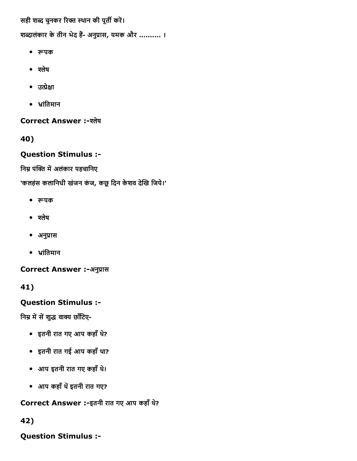सही शब्द चुनकर रिक्त स्थान की पूर्ती करें।

शब्दालंकार के तीन भेद हैं- अनुप्रास, यमक और .......... ।

- रूपक
- श्लेष
- उत्प्रेक्षा
- भ्रांतिमान

### **Correct Answer :- श्लेष**

40)

#### Question Stimulus :

निम्न पंक्ति में अलंकार पहचानिए

'कलहंस कलानिधी खंजन कंज, कछू दिन केशव देखि जिये।'

- रूपक
- श्लेष
- अनुप्रास
- भ्रांतिमान

Correct Answer :-अनुप्रास

41)

### Question Stimulus :

निम्न में सें शुद्ध वाक्य छाँटिए-

- इतनी रात गए आप कहाँथ?े
- इतनी रात गई आप कहाँथा?
- आप इतनी रात गए कहाँथ।े
- आप कहाँ थें इतनी रात गए?

Correct Answer :-इतनी रात गए आप कहाँ थे?

## 42)

### Question Stimulus :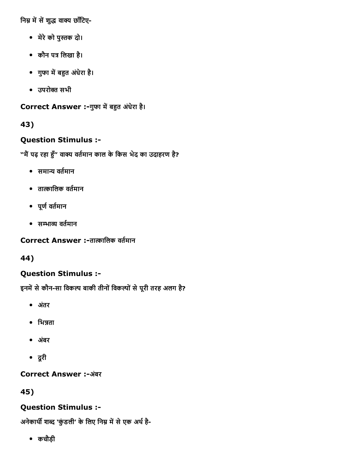निम्न में सें शुद्ध वाक्य छाँटिए-

- मेरे को पुस्तक दो।
- कौन प⻊ िलखा है।
- गुफा में बहुत अंधेरा है।
- उपरोꛟ सभी

Correct Answer :-गुफा में बहुत अंधेरा है।

## 43)

## Question Stimulus :

"मैं पढ़ रहा हुँ" वाक्य वर्तमान काल के किस भेद का उदाहरण है?

- समान्य वर्तमान
- तात्कालिक वर्तमान
- पूर्ण वर्तमान
- सम्भाव्य वर्तमान

Correct Answer :-तात्कालिक वर्तमान

### 44)

## Question Stimulus :

इनमें से कौन-सा विकल्प बाकी तीनों विकल्पों से पूरी तरह अलग है?

- अतंर
- भिन्नता
- अबंर
- दूरी

### **Correct Answer :-अंबर**

45)

## Question Stimulus :

अनेकार्थी शब्द 'कुंडली' के लिए निम्न में से एक अर्थ है-

कचौड़ी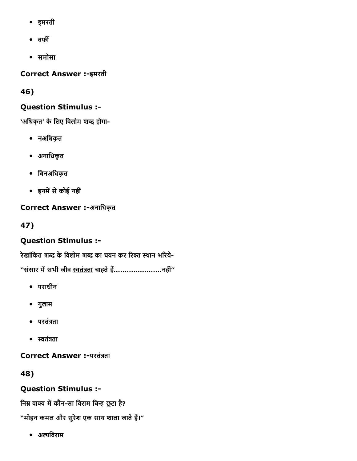- इमरती
- $\bullet$  बर्फी
- समोसा

Correct Answer :-इमरती

46)

### Question Stimulus :

'अधिकृत' के लिए विलोम शब्द होगा-

- नअिधकृत
- अनािधकृत
- िबनअिधकृत
- इनमें से कोई नहीं

## Correct Answer :-अनाधिकृत

47)

## Question Stimulus :

रेखांकित शब्द के विलोम शब्द का चयन कर रिक्त स्थान भरिये-

''संसार में सभी जीव <u>स्वतंत्रता</u> चाहते हैं........................नहीं''

- पराधीन
- गुलाम
- परतंत्रता
- स्वतंत्रता

Correct Answer :-परतंत्रता

48)

## Question Stimulus :

निम्न वाक्य में कौन-सा विराम चिन्ह छूटा है?

"मोहन कमल और सुरेश एक साथ शाला जाते हैं।"

• अल्पविराम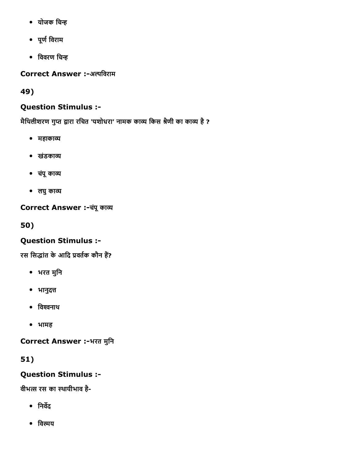- योजक चिन्ह
- $\bullet$  पूर्ण विराम
- विवरण चिन्ह

Correct Answer :-अल्पविराम

49)

## Question Stimulus :

मैथिलीशरण गुप्त द्वारा रचित 'यशोधरा' नामक काव्य किस श्रैणी का काव्य है ?

- महाकाव्य
- खंडकाव्य
- चंपू काव्य
- लघु काव्य

Correct Answer :-चंपू काव्य

50)

## Question Stimulus :

रस सिद्धांत के आदि प्रवर्तक कौन हैं?

- भरत मुनि
- भानुदत्त
- विश्वनाथ
- भामह

Correct Answer :-भरत मुनि

## 51)

Question Stimulus :

वीभत्स रस का स्थायीभाव है-

- निर्वेद
- विस्मय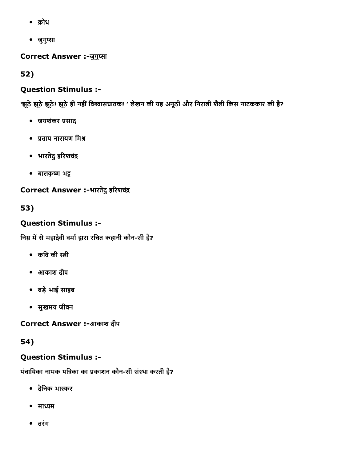- क्रोध
- जुगुप्सा

Correct Answer :-जुगुप्सा

52)

## Question Stimulus :

'झूठे झूठे झूठे! झूठे ही नहीं विश्वासघातक! ' लेखन की यह अनूठी और निराली शैली किस नाटककार की है?

- जयशंकर प्रसाद
- प्रताप नारायण मिश्र
- भारतेंदु हरिशचंद्र
- बालकृष्ण भट्ट

Correct Answer :-भारतेंदु हरिशचंद्र

53)

## Question Stimulus :

निम्र में से महादेवी वर्मा द्वारा रचित कहानी कौन-सी है?

- कवि की स्त्री
- आकाश दीप
- बड़ेभाई साहब
- सुखमय जीवन

Correct Answer :-आकाश दीप

54)

## Question Stimulus :

पंचायिका नामक पत्रिका का प्रकाशन कौन-सी संस्था करती है?

- दैनिक भास्कर
- माध्यम
- तरंग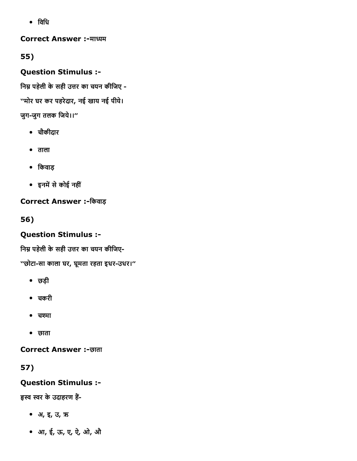िविध

Correct Answer :-माध्यम

55)

Question Stimulus :

निम्न पहेली के सही उत्तर का चयन कीजिए -

''मोर घर कर पहरेदार, नई खाय नई पीये।

जुगजुग तलक िजये।।''

- चौकीदार
- ताला
- िकवाड़
- इनमें से कोई नहीं

Correct Answer :-किवाड़

56)

## Question Stimulus :

निम्न पहेली के सही उत्तर का चयन कीजिए-

''छोटा-सा काला घर, घूमता रहता इधर-उधर।''

- छड़ी
- चकरी
- चश्मा
- छाता

**Correct Answer :-छाता** 

57)

## Question Stimulus :

हस्व स्वर के उदाहरण हैं-

- अ, इ, उ, ऋ
- आ, ई, ऊ, ए, ऐ, ओ, औ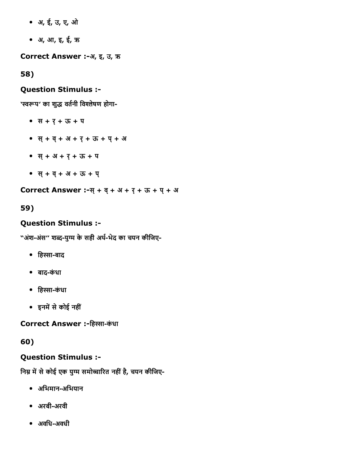- अ, ई, उ, ए, ओ
- अ, आ, इ, ई, ऋ

Correct Answer :-अ, इ, उ, ऋ

58)

#### Question Stimulus :

'स्वरूप' का शुद्ध वर्तनी विश्लेषण होगा-

- स + र्+ ऊ + प
- स्+ व्+ अ + र्+ ऊ + प्+ अ
- स्+ अ + र्+ ऊ + प
- स्+ व्+ अ + ऊ + प्

Correct Answer :- स् + व् + अ + र् + ऊ + प् + अ

### 59)

### Question Stimulus :

"अंश-अंस" शब्द-युग्म के सही अर्थ-भेद का चयन कीजिए-

- हिस्सा-बाद
- बाद-कंधा
- हिस्सा-कंधा
- इनमें से कोई नहीं

Correct Answer :-हिस्सा-कंधा

### 60)

#### Question Stimulus :

निम्न में से कोई एक युग्म समोच्चारित नहीं है, चयन कीजिए-

- अभिमान-अभियान
- अरबी-अरवी
- अवधि-अवधी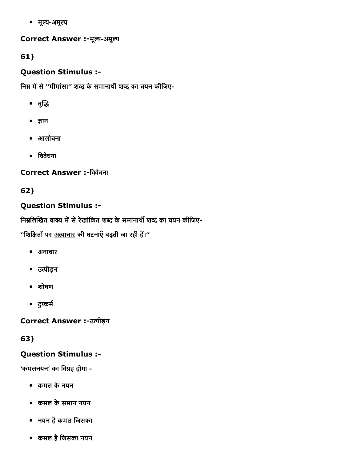• मूल्य-अमूल्य

#### Correct Answer :-मूल्य-अमूल्य

61)

## Question Stimulus :

निम्न में से ''मीमांसा'' शब्द के समानार्थी शब्द का चयन कीजिए-

- बुद्धि
- $\bullet$  ज्ञान
- आलोचना
- विवेचना

# Correct Answer :-विवेचना

# 62)

# Question Stimulus :

निम्नलिखित वाक्य में से रेखांकित शब्द के समानार्थी शब्द का चयन कीजिए-

''शिक्षितों पर <u>अत्याचार</u> की घटनाएँ बढ़ती जा रही हैं।''

- अनाचार
- उत्पीडन
- शोषण
- दुष्कर्म

Correct Answer :-उत्पीड़न

63)

# Question Stimulus :

'कमलनयन' का विग्रह होगा -

- कमल केनयन
- कमल केसमान नयन
- नयन हैकमल िजसका
- कमल हैिजसका नयन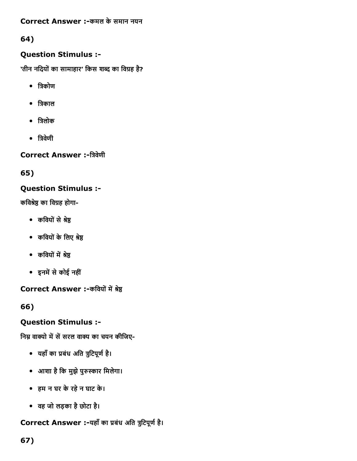Correct Answer :-कमल के समान नयन

64)

# Question Stimulus :

'तीन नदियों का सामाहार' किस शब्द का विग्रह है?

- त्रिकोण
- त्रिकाल
- त्रिलोक
- त्रिवेणी

Correct Answer :-त्रिवेणी

65)

# Question Stimulus :

कविश्रेष्ठ का विग्रह होगा-

- कवियों से श्रेष्ठ
- कवियों के लिए श्रेष्ठ
- कवियों में श्रेष्ठ
- इनमें से कोई नहीं

Correct Answer :-कवियों में श्रेष्ठ

66)

# Question Stimulus :

निम्न वाक्यो में सें सरल वाक्य का चयन कीजिए-

- यहाँ का प्रबंध अति त्रुटिपूर्ण है।
- आशा है कि मुझे पुरुस्कार मिलेगा।
- हम न घर केरहेन घाट के।
- वह जो लड़का हैछोटा है।

Correct Answer :-यहाँ का प्रबंध अति त्रुटिपूर्ण है।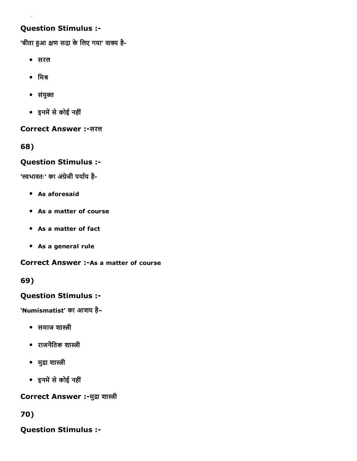## Question Stimulus :

'बीता हुआ क्षण सदा के लिए गया' वाक्य है-

- सरल
- मिश्र
- संयुक्त
- इनमें से कोई नहीं

#### Correct Answer :-सरल

68)

#### Question Stimulus :

'स्वभावतः' का अंग्रेजी पर्याय है-

- As aforesaid
- As a matter of course
- As a matter of fact
- As a general rule

Correct Answer :- As a matter of course

69)

## Question Stimulus :

'Numismatist' का आशय है–

- $\bullet$  समाज शास्त्री
- राजनैतिक शास्त्री
- मुद्रा शास्त्री
- इनमें से कोई नहीं

Correct Answer :-मुद्रा शास्त्री

70)

Question Stimulus :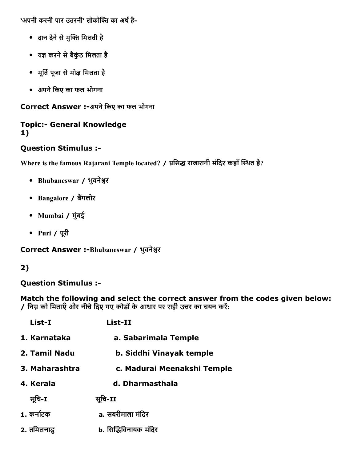'अपनी करनी पार उतरनी' लोकोक्ति का अर्थ है-

- दान देने से मुक्ति मिलती है
- यज्ञ करने से बैकुंठ मिलता है
- मूर्ति पूजा से मोक्ष मिलता है
- अपने किए का फल भोगना

Correct Answer :-अपने किए का फल भोगना

#### **Topic:- General Knowledge** 1)

## Question Stimulus :

Where is the famous Rajarani Temple located? / प्रसिद्ध राजारानी मंदिर कहाँ स्थित है?

- Bhubaneswar / भुवनेश्वर
- Bangalore / बैंगलोर
- Mumbai / मुंबई
- Puri / पूरी

Correct Answer :-Bhubaneswar / भुवनेश्वर

# 2)

## Question Stimulus :

Match the following and select the correct answer from the codes given below: / निम्न को मिलाएँ और नीचे दिए गए कोडों के आधार पर सही उत्तर का चयन करें:

| List-I         | List-II                     |  |  |
|----------------|-----------------------------|--|--|
| 1. Karnataka   | a. Sabarimala Temple        |  |  |
| 2. Tamil Nadu  | b. Siddhi Vinayak temple    |  |  |
| 3. Maharashtra | c. Madurai Meenakshi Temple |  |  |
| 4. Kerala      | d. Dharmasthala             |  |  |
| सूचि-I         | सुचि-II                     |  |  |
| 1. कर्नाटक     | a. सबरीमाला मंदिर           |  |  |
| 2. तमिलनाडु    | b. सिद्धिविनायक मंदिर       |  |  |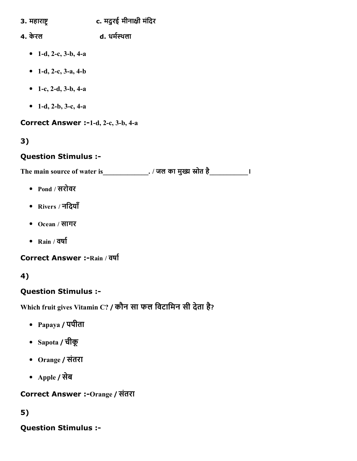- 3. महाराष्ट्र **Exercy computer c**. मदुरई मीनाक्षी मंदिर
- 4. केरल d. धर्मस्थला
	- 1-d, 2-c, 3-b, 4-a
	- 1-d, 2-c, 3-a, 4-b
	- 1-c, 2-d, 3-b, 4-a
	- 1-d, 2-b, 3-c, 4-a

Correct Answer :-1-d, 2-c, 3-b, 4-a

# 3)

# Question Stimulus :

The main source of water is\_\_\_\_\_\_\_\_\_\_\_\_\_\_. / जल का मुख्य स्रोत है\_\_\_\_\_\_\_\_\_\_\_\_\_।

- Pond / सरोवर
- Rivers / निदयाँ
- Ocean / सागर
- $\bullet$  Rain /  $\overline{a}$ र्षा

Correct Answer :- Rain / वर्षा

# 4)

# Question Stimulus :

Which fruit gives Vitamin C? / कौन सा फल विटामिन सी देता है?

- Papaya / पपीता
- Sapota / चीकू
- Orange / संतरा
- Apple / सेब

# Correct Answer :-Orange / संतरा

# 5)

Question Stimulus :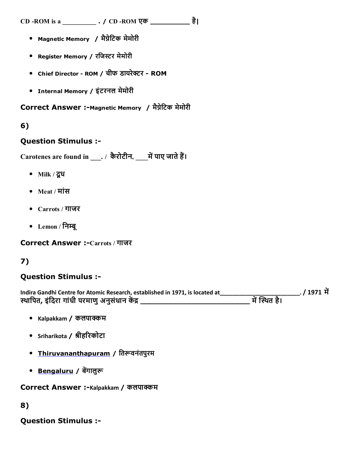- Magnetic Memory / मैग्नेटिक मेमोरी
- Register Memory / रजिस्टर मेमोरी
- Chief Director ROM / चीफ डायरेक्टर ROM
- Internal Memory / इंटरनल मेमोरी

Correct Answer :-Magnetic Memory / मैग्नेटिक मेमोरी

#### 6)

#### Question Stimulus :

 $\Gamma$ Carotenes are found in  $\Gamma$ , कैरोटीन, यों पाए जाते हैं।

- Milk / दूध
- Meat / मांस
- Carrots / गाजर
- $\bullet$  Lemon / निम्बू

Correct Answer :-Carrots / गाजर

## 7)

#### Question Stimulus :

Indira Gandhi Centre for Atomic Research, established in 1971, is located at\_\_\_\_\_\_\_\_<br>स्थापित, इंदिरा गांधी परमाणु अनुसंधान केंद्र िया, उंग्ल्यादय वा प्रसाण्य का कार्यालय का साथ करने गांधी परमाणुअनुसार गांधी परमाणुअनुसार गांधी परमाणु अन्न स<br>संस्थित है।

- Kalpakkam / कलपाम
- Sriharikota / श्रीहरिकोटा
- [Thiruvananthapuram](https://en.wikipedia.org/wiki/Thiruvananthapuram) / तिरूवनंतपुरम
- [Bengaluru](https://en.wikipedia.org/wiki/Bengaluru) / बेंगालुरू

Correct Answer :-Kalpakkam / कलपाक्कम

#### 8)

#### Question Stimulus :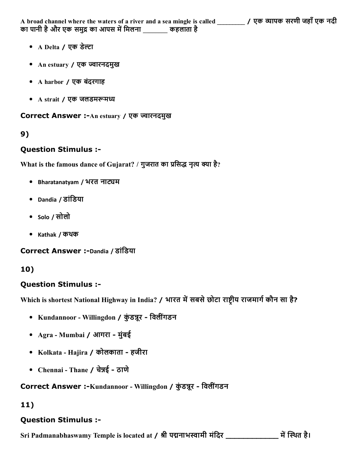- A Delta / एक डेल्टा
- An estuary / एक ज्वारनदमुख
- A harbor / एक बंदरगाह
- A strait / एक जलडमरूमध्य

#### Correct Answer :- An estuary / एक ज्वारनदमुख

### 9)

#### Question Stimulus :

What is the famous dance of Gujarat? / गुजरात का प्रसिद्ध नृत्य क्या है?

- Bharatanatyam / भरत नाट्यम
- Dandia / डांिडया
- $\bullet$  solo / सोलो
- Kathak / कथक

Correct Answer :-Dandia / डांडिया

## 10)

#### Question Stimulus :

Which is shortest National Highway in India? / भारत में सबसे छोटा राष्ट्रीय राजमार्ग कौन सा है?

- Kundannoor Willingdon / कुंडन्नूर विलींगंडन
- Agra Mumbai / आगरा मुंबई
- Kolkata Hajira / कोलकाता हजीरा
- Chennai Thane / चेन्नई ठाणे

### Correct Answer :-Kundannoor - Willingdon / कुंडन्नूर - विलींगडन

# 11)

# Question Stimulus :

Sri Padmanabhaswamy Temple is located at / श्री पद्मनाभस्वामी मंदिर \_\_\_\_\_\_\_\_\_\_\_\_\_\_\_ में स्थित है।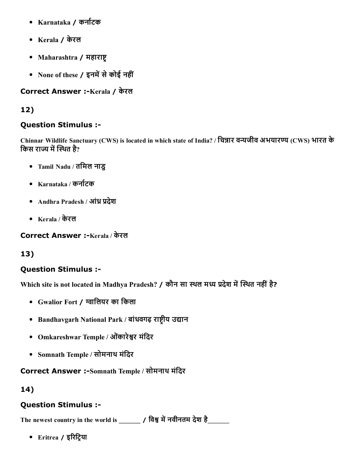- Karnataka / कना檰टक
- Kerala / केरल
- Maharashtra / महाराष्ट
- None of these  $/$  इनमें से कोई नहीं

## Correct Answer :-Kerala / केरल

# 12)

## Question Stimulus :

Chinnar Wildlife Sanctuary (CWS) is located in which state of India? / चिन्नार वन्यजीव अभयारण्य (CWS) भारत के किस राज्य में स्थित है?

- Tamil Nadu / तिमल नाडु
- $\bullet$  Karnataka / कर्नाटक
- Andhra Pradesh / आं頻 देश
- $\bullet$  Kerala / केरल

Correct Answer :-Kerala / केरल

13)

# Question Stimulus :

Which site is not located in Madhya Pradesh? / कौन सा स्थल मध्य प्रदेश में स्थित नहीं है?

- Gwalior Fort / ꓰािलयर का िकला
- Bandhavgarh National Park / बांधवगढ़ राष्ट्रीय उद्यान
- Omkareshwar Temple / ओंकारेश्वर मंदिर
- Somnath Temple / सोमनाथ मंिदर

# Correct Answer :-Somnath Temple / सोमनाथ मंदिर

# 14)

# Question Stimulus :

The newest country in the world is \_\_\_\_\_\_\_ / िव瑧Ā म蒴नवीनतम देश है\_\_\_\_\_\_\_

• Eritrea / इरिटिया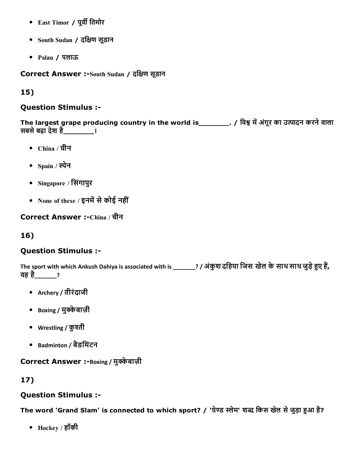- East Timor / पूर्वी तिमोर
- South Sudan / दक्षिण सूडान
- Palau / पलाऊ

Correct Answer :-South Sudan / दक्षिण सूडान

### 15)

#### Question Stimulus :

The largest grape producing country in the world is \_\_\_\_\_\_\_\_. / विश्व में अंगूर का उत्पादन करने वाला सबसेबढ़ा देश है\_\_\_\_\_\_\_।

- China / चीन
- $\bullet$  Spain / स्पेन
- Singapore / िसंगापुर
- None of these / इनमें से कोई नहीं

Correct Answer :-China / चीन

# 16)

## Question Stimulus :

The sport with which Ankush Dahiya is associated with is \_\_\_\_\_\_\_? / अंकुश दहिया जिस खेल के साथ साथ जुड़े हुए हैं, वह है\_\_\_\_\_\_\_?

- Archery / तीरंदाजी
- Boxing / मुक्केबाज़ी
- Wrestling / कु䩤Āी
- Badminton / बैडिमंटन

### Correct Answer :-Boxing / मुक्केबाज़ी

## 17)

#### Question Stimulus :

The word 'Grand Slam' is connected to which sport? / 'ग्रेण्ड स्लेम' शब्द किस खेल से जुड़ा हुआ है?

Hockey / हॉकी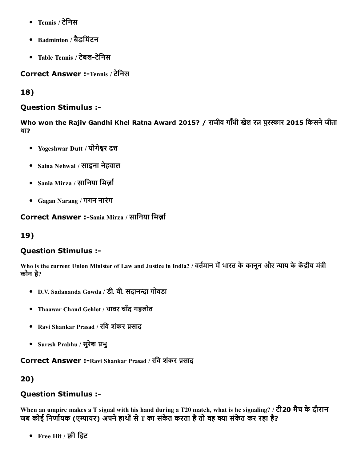- Tennis / टेिनस
- Badminton / बैडिमंटन
- Table Tennis / टेबल-टेनिस

Correct Answer :-Tennis / टेनिस

18)

### Question Stimulus :

Who won the Rajiv Gandhi Khel Ratna Award 2015? / राजीव गाँधी खेल रत्न पुरस्कार 2015 किसने जीता था?

- Yogeshwar Dutt / योगेश्वर दत्त
- Saina Nehwal / साइना नेहवाल
- Sania Mirza / सानिया मिर्जा
- Gagan Narang / गगन नारंग

Correct Answer :-Sania Mirza / सानिया मिर्ज़ा

19)

# Question Stimulus :

Who is the current Union Minister of Law and Justice in India? / वर्तमान में भारत के कानून और न्याय के केंद्रीय मंत्री कौन है?

- D.V. Sadananda Gowda / डी. वी. सदानन्दा गोवडा
- Thaawar Chand Gehlot / थावर चाँद गहलोत
- Ravi Shankar Prasad / रवि शंकर प्रसाद
- Suresh Prabhu / सुरेश भु

Correct Answer :-Ravi Shankar Prasad / रवि शंकर प्रसाद

20)

## Question Stimulus :

When an umpire makes a T signal with his hand during a T20 match, what is he signaling? / टी20 मैच केदौरान जब कोई निर्णायक (एम्पायर) अपने हाथों से T का संकेत करता है तो वह क्या संकेत कर रहा है?

Free Hit / 뛚ी िहट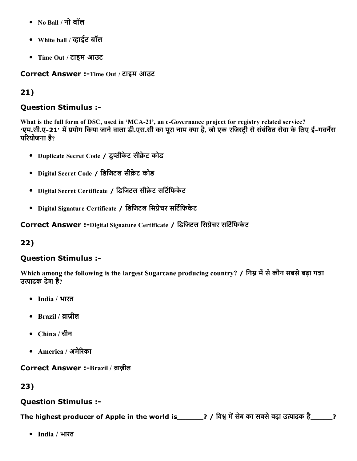- No Ball / नो बॉल
- White ball / व्हाईट बॉल
- Time Out / टाइम आउट

**Correct Answer :-Time Out / टाइम आउट** 

# 21)

### Question Stimulus :

What is the full form of DSC, used in 'MCA-21', an e-Governance project for registry related service? 'एम.सी.ए-21' में प्रयोग किया जाने वाला डी.एस.सी का पूरा नाम क्या है, जो एक रजिस्ट्री से संबंधित सेवा के लिए ई-गवर्नेंस परियोजना है?

- Duplicate Secret Code / डुप्लीकेट सीक्रेट कोड
- Digital Secret Code / डिजिटल सीक्रेट कोड
- Digital Secret Certificate / डिजिटल सीक्रेट सर्टिफिकेट
- Digital Signature Certificate / डिजिटल सिग्नेचर सर्टिफिकेट

Correct Answer :-Digital Signature Certificate / डिजिटल सिग्नेचर सर्टिफिकेट

## 22)

#### Question Stimulus :

Which among the following is the largest Sugarcane producing country? / निम्न में से कौन सबसे बढ़ा गन्ना उत्पादक देश है?

- India / भारत
- Brazil / ब्राजील
- China / चीन
- America / अमेरिका

## Correct Answer :-Brazil / ब्राज़ील

# 23)

## Question Stimulus :

The highest producer of Apple in the world is \_\_\_\_\_\_? / विश्व में सेब का सबसे बढ़ा उत्पादक है\_\_\_\_\_\_?

India / भारत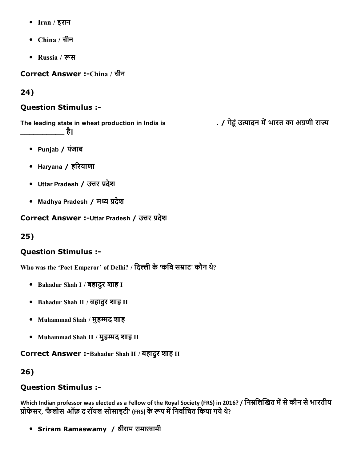- Iran / इरान
- China / चीन
- Russia / स

Correct Answer :-China / चीन

## 24)

#### Question Stimulus :

The leading state in wheat production in India is \_\_\_\_\_\_\_\_\_\_\_\_\_\_\_\_\_\_. / गेहूं उत्पादन में भारत का अग्रणी राज्य \_\_\_\_\_\_\_\_\_\_ है|

- Punjab / पंजाब
- Haryana / हरियाणा
- Uttar Pradesh / उत्तर प्रदेश
- Madhya Pradesh / मध्य प्रदेश

Correct Answer :-Uttar Pradesh / उत्तर प्रदेश

# 25)

# Question Stimulus :

Who was the 'Poet Emperor' of Delhi? / दिल्ली के 'कवि सम्राट' कौन थे?

- Bahadur Shah I / बहादुर शाह I
- Bahadur Shah II / बहादुर शाह II
- Muhammad Shah / मुहम्मद शाह
- Muhammad Shah II / मुहम्मद शाह II

Correct Answer :-Bahadur Shah II / बहादुर शाह II

## 26)

# Question Stimulus :

Which Indian professor was elected as a Fellow of the Royal Society (FRS) in 2016? / निम्नलिखित में से कौन से भारतीय प्रोफेसर, 'फैलोस ऑफ़ द रॉयल सोसाइटी' (FRS) के रूप में निर्वाचित किया गये थे?

• Sriram Ramaswamy / श्रीराम रामास्वामी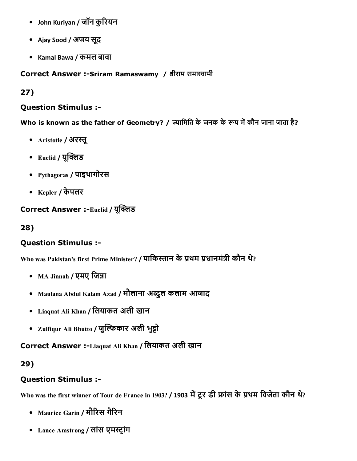- John Kuriyan / जॉन कुरियन
- Ajay Sood / अजय सूद
- Kamal Bawa / कमल बावा

Correct Answer :-Sriram Ramaswamy / श्रीराम रामास्वामी

27)

#### Question Stimulus :

Who is known as the father of Geometry? / ज्यामिति के जनक के रूप में कौन जाना जाता है?

- Aristotle / अरस्तू
- $\bullet$  Euclid / यूक्लिड
- Pythagoras / पाइथागोरस
- Kepler / केपलर

Correct Answer :-Euclid / यूक्लिड

28)

## Question Stimulus :

Who was Pakistan's first Prime Minister? / पाकिस्तान के प्रथम प्रधानमंत्री कौन थे?

- MA Jinnah / एमए जिन्ना
- Maulana Abdul Kalam Azad / मौलाना अब्दुल कलाम आजाद
- Liaquat Ali Khan / िलयाकत अली खान
- Zulfiqur Ali Bhutto / जुल्फिकार अली भुट्टो

Correct Answer :-Liaquat Ali Khan / लियाकत अली खान

## 29)

# Question Stimulus :

Who was the first winner of Tour de France in 1903? / 1903 में टूर डी फ्रांस के प्रथम विजेता कौन थे?

- Maurice Garin / मौ캣रस गै캣रन
- Lance Amstrong / लांस एमस्ट्रांग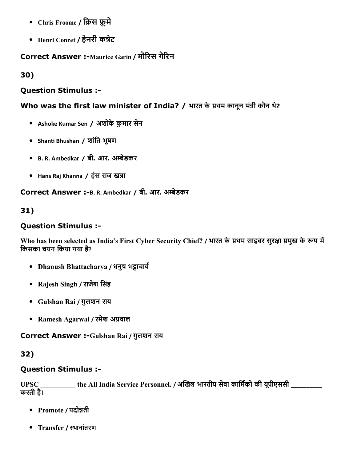- Chris Froome / क्रिस फ्रूमे
- Henri Conret / हेनरी कन्नेट

# Correct Answer :-Maurice Garin / मौरिस गैरिन

30)

### Question Stimulus :

### Who was the first law minister of India? / भारत के प्रथम कानून मंत्री कौन थे?

- Ashoke Kumar Sen / अशोके कुमार सेन
- Shanti Bhushan / शांति भूषण
- B. R. Ambedkar / बी. आर. अṔĀेडकर
- Hans Raj Khanna / हंस राज खन्ना

Correct Answer :- B. R. Ambedkar / बी. आर. अम्बेडकर

31)

### Question Stimulus :

Who has been selected as India's First Cyber Security Chief? / भारत के प्रथम साइबर सुरक्षा प्रमुख के रूप में किसका चयन किया गया है?

- Dhanush Bhattacharya / धनुष भट्टाचार्य
- Rajesh Singh / राजेश िसंह
- Gulshan Rai / गुलशन राय
- Ramesh Agarwal / रमेश अग्रवाल

Correct Answer :-Gulshan Rai / गुलशन राय

#### 32)

#### Question Stimulus :

UPSC \_\_\_\_\_\_\_\_\_\_\_ the All India Service Personnel. / अखिल भारतीय सेवा कार्मिकों की यूपीएससी \_\_ करती है।

- Promote / पदोन्नती
- Transfer / स्थानांतरण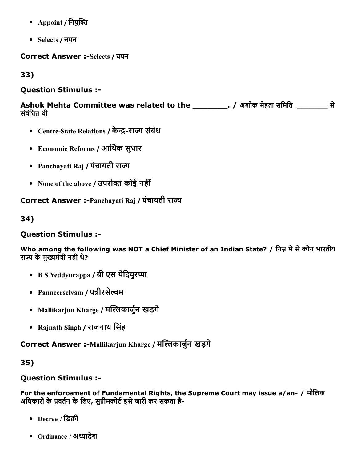- Appoint / नियुक्ति
- Selects / चयन

Correct Answer :-Selects / चयन

33)

## Question Stimulus :

Ashok Mehta Committee was related to the \_\_\_\_\_\_\_\_\_. / अशोक मेहता समिति \_\_\_\_\_\_\_\_ से संबंिधत थी

- Centre-State Relations / केन्द्र-राज्य संबंध
- Economic Reforms / आर्थिक सुधार
- Panchayati Raj / पंचायती राज्य
- None of the above / उपरोक्त कोई नहीं

Correct Answer :-Panchayati Raj / पंचायती राज्य

34)

# Question Stimulus :

Who among the following was NOT a Chief Minister of an Indian State? / निम्न में से कौन भारतीय राज्य के मुख्यमंत्री नहीं थे?

- B S Yeddyurappa / बी एस येदियुरप्पा
- Panneerselvam / पन्नीरसेल्वम
- Mallikarjun Kharge / मल्लिकार्जुन खड़गे
- Rajnath Singh / राजनाथ िसंह

Correct Answer :-Mallikarjun Kharge / मल्लिकार्जुन खड़गे

35)

# Question Stimulus :

For the enforcement of Fundamental Rights, the Supreme Court may issue a/an- / मौलिक अधिकारों के प्रवर्तन के लिए, सुप्रीमकोर्ट इसे जारी कर सकता है-

- Decree / डिक्री
- $\bullet$  Ordinance / अध्यादेश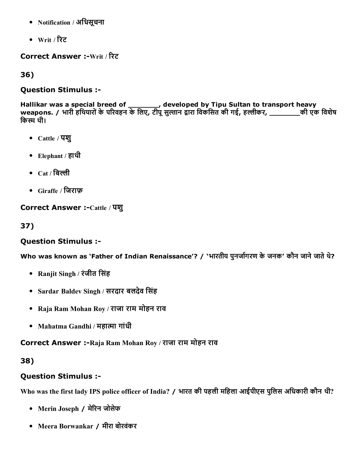- Notification / अिधसूचना
- Writ / 캣रट

Correct Answer :-Writ / रिट

36)

### Question Stimulus :

Hallikar was a special breed of \_\_\_\_\_\_\_, developed by Tipu Sultan to transport heavy weapons. / भारी हथियारों के परिवहन के लिए, टीपू सुल्तान द्वारा विकसित की गई, हल्लीकर, \_\_\_\_\_\_\_\_\_की एक विशेष किस्म थी।

- Cattle / पशु
- Elephant / हाथी
- $\bullet$  Cat/ बिल्ली
- Giraffe / िजराफ़

Correct Answer :-Cattle / पशु

37)

#### Question Stimulus :

Who was known as 'Father of Indian Renaissance'? / 'भारतीय पुनर्जागरण के जनक' कौन जाने जाते थे?

- Ranjit Singh / रंजीत िसंह
- Sardar Baldev Singh / सरदार बलदेव िसंह
- Raja Ram Mohan Roy / राजा राम मोहन राव
- Mahatma Gandhi / महात्मा गांधी

Correct Answer :-Raja Ram Mohan Roy / राजा राम मोहन राव

#### 38)

# Question Stimulus :

Who was the first lady IPS police officer of India? / भारत की पहली महिला आईपीएस पुलिस अधिकारी कौन थी?

- Merin Joseph / मेरिन जोसेफ
- Meera Borwankar / मीरा बोरवंकर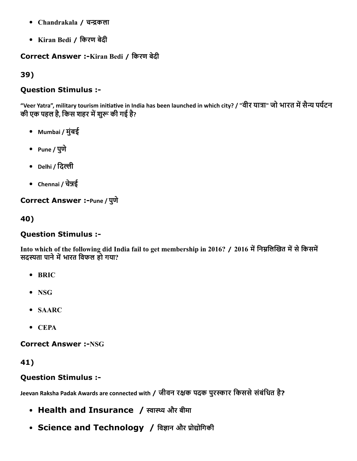- Chandrakala / चन्द्रकला
- Kiran Bedi / िकरण बेदी

### Correct Answer :-Kiran Bedi / किरण बेदी

39)

### Question Stimulus :

"Veer Yatra", military tourism initiative in India has been launched in which city? / "वीर यात्रा" जो भारत में सैन्य पर्यटन की एक पहल है, किस शहर में शुरू की गई है?

- Mumbai / मुंबई
- Pune / पुणे
- Delhi / दिल्ली
- Chennai / चेन्नई

Correct Answer :-Pune / पुणे

40)

## Question Stimulus :

Into which of the following did India fail to get membership in 2016? / 2016 में निम्नलिखित में से किसमें सदस्यता पाने में भारत विफल हो गया?

- BRIC
- NSG
- SAARC
- $\bullet$  CEPA

**Correct Answer :-NSG** 

41)

## Question Stimulus :

Jeevan Raksha Padak Awards are connected with / जीवन रक्षक पदक पुरस्कार किससे संबंधित है?

- Health and Insurance / स्वास्थ्य और बीमा
- Science and Technology / विज्ञान और प्रोद्योगिकी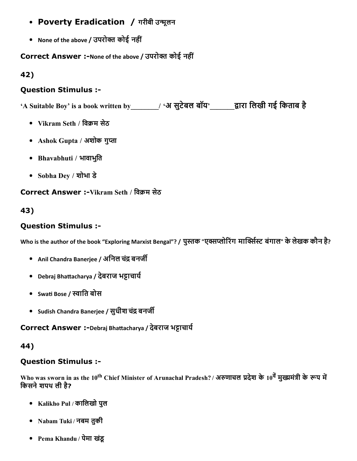- Poverty Eradication / गरीबी उन्मूलन
- None of the above / उपरोक्त कोई नहीं

Correct Answer :-None of the above / उपरोक्त कोई नहीं

42)

### Question Stimulus :

'A Suitable Boy' is a book written by\_\_\_\_\_\_\_\_/ 'अ सुटेबल बॉय'\_\_\_\_\_\_\_揠ारा िलखी गई िकताब है

- Vikram Seth / विक्रम सेठ
- Ashok Gupta / अशोक गुप्ता
- Bhavabhuti / भावाभुित
- Sobha Dey / शोभा डे

### Correct Answer :-Vikram Seth / विक्रम सेठ

43)

## Question Stimulus :

Who is the author of the book "Exploring Marxist Bengal"? / पुस्तक "एक्सप्लोरिंग मार्क्सिस्ट बंगाल" के लेखक कौन है?

- Anil Chandra Banerjee / अनिल चंद्र बनर्जी
- Debraj Bhattacharya / देबराज भट्टाचार्य
- Swati Bose / स्वाति बोस
- Sudish Chandra Banerjee / सुधीश चंद्र बनर्जी

Correct Answer :-Debraj Bhattacharya / देबराज भट्टाचार्य

## 44)

## Question Stimulus :

Who was sworn in as the 10<sup>th</sup> Chief Minister of Arunachal Pradesh? / अरुणाचल प्रदेश के 10<sup>वें</sup> मुख्यमंत्री के रूप में किसने शपथ ली है?

- Kalikho Pul / कािलखो पुल
- Nabam Tuki / नबम तुकी
- Pema Khandu / पेमा खडंू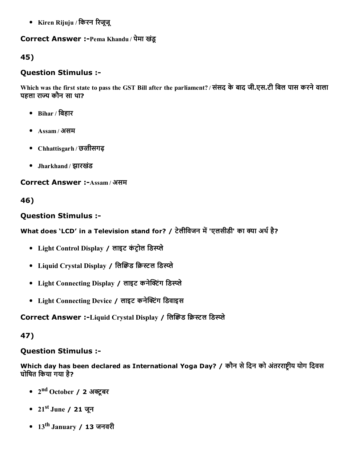• Kiren Rijuju / किरन रिजूजू

#### Correct Answer :-Pema Khandu / पेमा खंडू

## 45)

#### Question Stimulus :

Which was the first state to pass the GST Bill after the parliament? / संसद के बाद जी.एस.टी बिल पास करने वाला पहला राज्य कौन सा था?

- $\bullet$  Bihar / बिहार
- Assam / असम
- Chhattisgarh / छत्तीसगढ़
- Jharkhand / झारखडं

**Correct Answer :-Assam/असम** 

46)

### Question Stimulus :

What does 'LCD' in a Television stand for? / टेलीविजन में 'एलसीडी' का क्या अर्थ है?

- Light Control Display / लाइट कंटोल डिस्प्ले
- Liquid Crystal Display / लिकिड क्रिस्टल डिस्प्ले
- Light Connecting Display / लाइट कनेक्टिंग डिस्प्ले
- Light Connecting Device / लाइट कनेक्टिंग डिवाइस

#### Correct Answer :-Liquid Crystal Display / लिकिड क्रिस्टल डिस्प्ले

47)

#### Question Stimulus :

Which day has been declared as International Yoga Day? / कौन से दिन को अंतरराष्ट्रीय योग दिवस घोिषत िकया गया है?

- 2<sup>nd</sup> October **/ 2** अक्टूबर
- 21<sup>st</sup> June / 21 जून
- 13<sup>th</sup> January / 13 जनवरी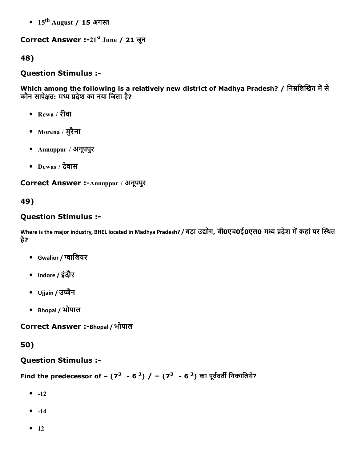15<sup>th</sup> August / 15 अगस्त

Correct Answer :-21<sup>st</sup> June / 21 जून

48)

### Question Stimulus :

Which among the following is a relatively new district of Madhya Pradesh? / निम्नलिखित में से कौन सापेक्षत: मध्य प्रदेश का नया जिला है?

- Rewa / रीवा
- Morena / मुरैना
- Annuppur / अनूपपुर
- Dewas / देवास

### Correct Answer :- Annuppur / अनूपपुर

## 49)

## Question Stimulus :

Where is the major industry, BHEL located in Madhya Pradesh? / बड़ा उद्योग, बी0एच0ई0एल0 मध्य प्रदेश में कहां पर स्थित है?

- Gwalior / ꓰािलयर
- Indore / इंदौर
- Ujjain / उज्जैन
- Bhopal / भोपाल

Correct Answer :-Bhopal / भोपाल

50)

## Question Stimulus :

Find the predecessor of – (7<sup>2</sup> - 6<sup>2</sup>) / – (7<sup>2</sup> - 6<sup>2</sup>) का पूर्ववर्ती निकालिये?

- $-12$
- $-14$
- $12$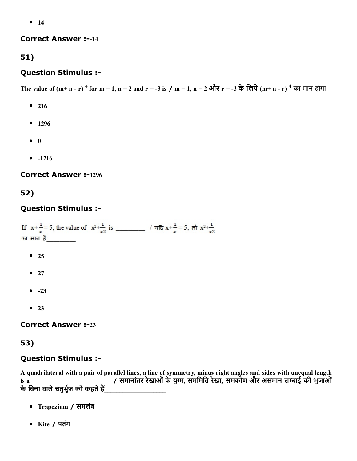$• 14$ 

#### **Correct Answer :--14**

## 51)

#### Question Stimulus :

The value of (m+ n - r)  $^4$  for m = 1, n = 2 and r = -3 is / m = 1, n = 2 और r = -3 के लिये (m+ n - r)  $^4$  का मान होगा

- 216
- $1296$
- $\bullet$  0
- $-1216$

**Correct Answer :-1296** 

# 52)

#### Question Stimulus :

का मान है\_\_\_

- $25$
- $27$
- $-23$
- $23$

#### **Correct Answer :-23**

#### 53)

#### Question Stimulus :

A quadrilateral with a pair of parallel lines, a line of symmetry, minus right angles and sides with unequal length is a \_\_\_\_\_\_\_\_\_\_\_\_\_\_\_\_\_\_\_\_\_\_\_\_\_\_ / समानांतर रेखाओंकेयु⋯, समिमित रेखा, समकोण और असमान लṔĀाई की भुजाओं के बिना वाले चतुर्भुज को कहते हैं

- Trapezium / समलंब
- Kite / पतंग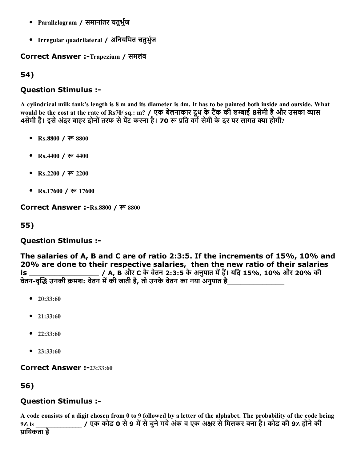- Parallelogram / समानांतर चतुर्भुज
- Irregular quadrilateral / अनियमित चतुर्भुज

#### Correct Answer :-Trapezium / समलंब

#### 54)

### Question Stimulus :

A cylindrical milk tank's length is 8 m and its diameter is 4m. It has to be painted both inside and outside. What would be the cost at the rate of Rs70/ sq.: m? / एक बेलनाकार दूध के टैंक की लम्बाई 8सेमी है और उसका व्यास 4सेमी है। इसे अंदर बाहर दोनों तरफ से पेंट करना है। 70 रू प्रति वर्ग सेमी के दर पर लागत क्या होगी?

- Rs.8800 / रू 8800
- Rs.4400 / रू 4400
- Rs.2200 / रू 2200
- Rs.17600 / रू 17600

Correct Answer :-Rs.8800 / रू 8800

55)

#### Question Stimulus :

The salaries of A, B and C are of ratio 2:3:5. If the increments of 15%, 10% and 20% are done to their respective salaries, then the new ratio of their salaries is \_\_\_\_\_\_\_\_\_\_\_\_\_\_ / A, B और C केवेतन 2:3:5 केअनुपात म蒴ह⢶। यिद 15%, 10% और 20% की वेतनवृ芤氲Ā उनकी 갠मश: वेतन म蒴की जाती है, तो उनकेवेतन का नया अनुपात है\_\_\_\_\_\_\_\_\_\_\_\_\_

- $\bullet$  20:33:60
- $\bullet$  21:33:60
- $\bullet$  22:33:60
- $\bullet$  23:33:60

Correct Answer :-23:33:60

## 56)

## Question Stimulus :

A code consists of a digit chosen from 0 to 9 followed by a letter of the alphabet. The probability of the code being  $9Z$  is  $9Z = 9$  होने कोड  $9 \times 9$  में से चुने गये अंक व एक अक्षर से मिलकर बना है। कोड की  $9Z$  होने की ाियकता है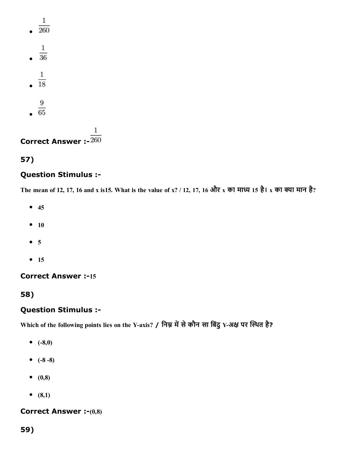|   | 1<br>260             |  |
|---|----------------------|--|
| ٠ | 1<br>$\overline{36}$ |  |
| ٠ | $\mathbf{1}$<br>18   |  |
|   | 65                   |  |

 $\mathbf{1}$ Correct Answer :- 260

## 57)

#### Question Stimulus :

The mean of 12, 17, 16 and x is15. What is the value of x? / 12, 17, 16 और x का माध्य 15 है। x का क्या मान है?

- $45$
- $-10$
- $5$
- $15$

#### **Correct Answer :-15**

### 58)

#### Question Stimulus :

Which of the following points lies on the Y-axis? / निम्न में से कौन सा बिंदु Y-अक्ष पर स्थित है?

- $(-8,0)$
- $(-8-8)$
- $(0,8)$
- $(8,1)$

#### Correct Answer  $:-(0,8)$

## 59)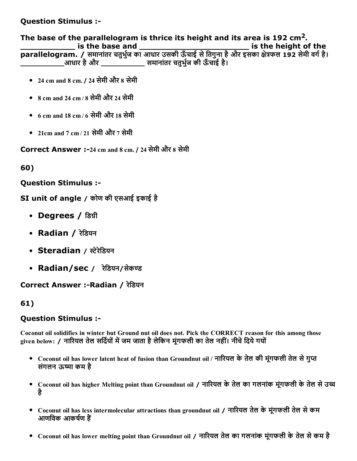#### Question Stimulus :

The base of the parallelogram is thrice its height and its area is 192  $\text{cm}^2$ . **with the same of the base and the same of the same of the same of the same of the same of the same of the same of the same of the same of the same of the same of the same of the same of the same of the same of the same of** parallelogram. / समानांतर चतुर्भुज का आधार उसकी ऊँचाई से तिगुना है और इसका क्षेत्रफल 192 सेमी वर्ग है। \_आधार है और \_\_\_\_\_\_\_\_\_\_\_\_\_\_\_ समानांतर चतुर्भुज की ऊँचाई है। 24 cm and 8 cm. / 24 सेमी और 8 सेमी 8 cm and 24 cm / 8 सेमी और 24 सेमी 6 cm and 18 cm / 6 सेमी और 18 सेमी 21cm and 7 cm / 21 सेमी और 7 सेमी Correct Answer :24 cm and 8 cm. / 24 सेमी और 8 सेमी 60) Question Stimulus : SI unit of angle / कोण की एसआई इकाई है

- Degrees / डिग्री
- Radian / रेडियन
- Steradian / स्टेरेडियन
- Radian/sec / रेडियन/सेकण्ड

Correct Answer :-Radian / रेडियन

#### 61)

#### Question Stimulus :

Coconut oil solidifies in winter but Ground nut oil does not. Pick the CORRECT reason for this among those given below: / नारियल तेल सर्दियों में जम जाता है लेकिन मूंगफली का तेल नहीं। नीचे दिये गयों

- Coconut oil has lower latent heat of fusion than Groundnut oil / नारियल के तेल की मूंगफली तेल से गुप्त संगलन ऊष्मा कम है
- Coconut oil has higher Melting point than Groundnut oil / नारियल के तेल का गलनांक मूंगफली के तेल से उच्च है
- Coconut oil has less intermolecular attractions than groundnut oil / नारियल तेल के मूंगफली तेल से कम आणविक आकर्षण हैं
- Coconut oil has lower melting point than Groundnut oil / ना캣रयल तेल का गलनांक मूंगफली केतेल सेकम है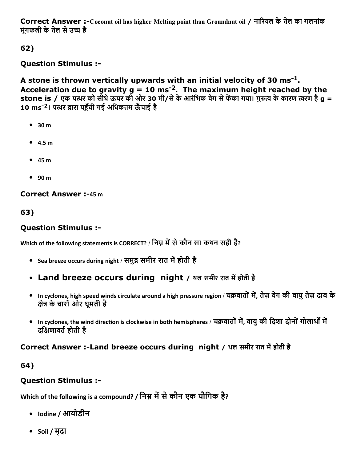Correct Answer :-Coconut oil has higher Melting point than Groundnut oil / नारियल के तेल का गलनांक मुंगफली के तेल से उच्च है

62)

## Question Stimulus :

A stone is thrown vertically upwards with an initial velocity of 30  $\text{ms}^\text{-1}.$ Acceleration due to gravity  $g = 10$  ms<sup>-2</sup>. The maximum height reached by the stone is / एक पत्थर को सीधे ऊपर की ओर 30 मी/से के आरंभिक वेग से फेंका गया। गुरुत्व के कारण त्वरण है g = 10 ms<sup>-2</sup>। पत्थर द्वारा पहुँची गई अधिकतम ऊँचाई है

- 30 m
- 4.5 m
- 45 m
- 90 m

#### **Correct Answer :-45 m**

63)

#### Question Stimulus :

Which of the following statements is CORRECT? / निम्न में से कौन सा कथन सही है?

- Sea breeze occurs during night / समुद्र समीर रात में होती है
- Land breeze occurs during night / थल समीर रात में होती है
- In cyclones, high speed winds circulate around a high pressure region / चक्रवातों में, तेज़ वेग की वायु तेज़ दाब के क्षेत्र के चारों ओर घूमती है
- In cyclones, the wind direction is clockwise in both hemispheres / चक्रवातों में, वायु की दिशा दोनों गोलार्धों में दक्षिणावर्त होती है

## Correct Answer :-Land breeze occurs during night / थल समीर रात में होती है

64)

## Question Stimulus :

Which of the following is a compound? / निम्न में से कौन एक यौगिक है?

- Iodine / आयोडीन
- Soil / मृदा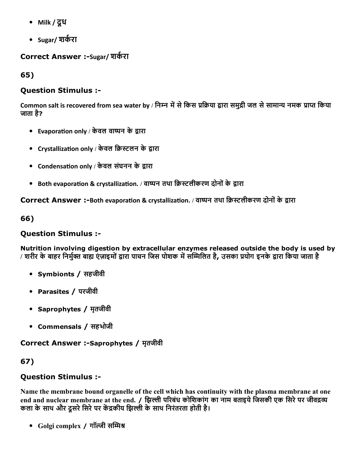- Milk / दूध
- Sugar/ शर्करा

Correct Answer :-Sugar/ शर्करा

65)

## Question Stimulus :

Common salt is recovered from sea water by / निम्न में से किस प्रक्रिया द्वारा समुद्री जल से सामान्य नमक प्राप्त किया जाता है?

- Evaporation only / केवल वाष्पन के द्वारा
- Crystallization only / केवल क्रिस्टलन के द्वारा
- Condensation only / केवल संघनन के द्वारा
- Both evaporation & crystallization. / वाष्पन तथा क्रिस्टलीकरण दोनों के द्वारा

Correct Answer :-Both evaporation & crystallization. / वाष्पन तथा क्रिस्टलीकरण दोनों के द्वारा

66)

## Question Stimulus :

Nutrition involving digestion by extracellular enzymes released outside the body is used by / शरीर के बाहर निर्मुक्त बाह्य एंज़ाइमों द्वारा पाचन जिस पोशक में सम्मिलित है, उसका प्रयोग इनके द्वारा किया जाता है

- Symbionts / सहजीवी
- Parasites / परजीवी
- Saprophytes / मृतजीवी
- Commensals / सहभोजी

## Correct Answer :-Saprophytes / मृतजीवी

67)

# Question Stimulus :

Name the membrane bound organelle of the cell which has continuity with the plasma membrane at one end and nuclear membrane at the end. / झिल्ली परिबंध कोशिकांग का नाम बताइये जिसकी एक सिरे पर जीवद्रव्य कला के साथ और दूसरे सिरे पर केंद्रकीय झिल्ली के साथ निरंतरता होती है।

• Golgi complex / गॉल्जी सम्मिश्र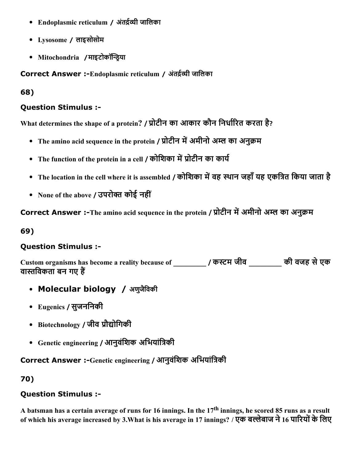- Endoplasmic reticulum / अंतर्द्रव्यी जालिका
- Lysosome / लाइसोसोम
- Mitochondria /माइटोकॉन्डिया

Correct Answer :-Endoplasmic reticulum / अंतर्द्रव्यी जालिका

68)

## Question Stimulus :

What determines the shape of a protein? / प्रोटीन का आकार कौन निर्धारित करता है?

- The amino acid sequence in the protein / प्रोटीन में अमीनो अम्ल का अनुक्रम
- The function of the protein in a cell / कोशिका में प्रोटीन का कार्य
- The location in the cell where it is assembled / कोशिका में वह स्थान जहाँ यह एकत्रित किया जाता है
- None of the above / उपरोक्त कोई नहीं

Correct Answer :-The amino acid sequence in the protein / प्रोटीन में अमीनो अम्ल का अनुक्रम

69)

# Question Stimulus :

Custom organisms has become a reality because of \_\_\_\_\_\_\_\_\_ / कस्टम जीव \_\_\_\_\_\_\_\_ की वजह से एक वास्तविकता बन गए हैं

- Molecular biology / अणुजैविकी
- Eugenics / सुजनिनकी
- Biotechnology / जीव प्रौद्योगिकी
- Genetic engineering / आनुवंशिक अभियांत्रिकी

Correct Answer :-Genetic engineering / आनुवंशिक अभियांत्रिकी

70)

## Question Stimulus :

A batsman has a certain average of runs for 16 innings. In the 17<sup>th</sup> innings, he scored 85 runs as a result of which his average increased by 3.What is his average in 17 innings? / एक बल्लेबाज ने 16 पारियों के लिए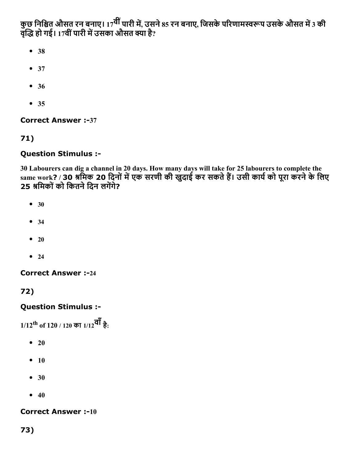कुछ निश्चित औसत रन बनाए। 17<sup>वीं</sup> पारी में, उसने 85 रन बनाए, जिसके परिणामस्वरूप उसके औसत में 3 की वृद्धि हो गई। 17वीं पारी में उसका औसत क्या है?

- 38
- $37$
- 36
- 35

**Correct Answer :-37** 

71)

### Question Stimulus :

30 Labourers can dig a channel in 20 days. How many days will take for 25 labourers to complete the same work? / **30 श्रमिक 20 दिनों में एक सरणी की खुदाई क**र सकते हैं। उसी कार्य को पूरा करने के लिए 25 श्रमिकों को कितने दिन लगेंगे?

- $30$
- $34$
- $20$
- $24$

**Correct Answer :-24** 

72)

#### Question Stimulus :

1/12<sup>th</sup> of 120 / 120 का 1/12<sup>वां</sup> है:

- $20$
- $10$
- 30
- $40$

#### **Correct Answer :-10**

73)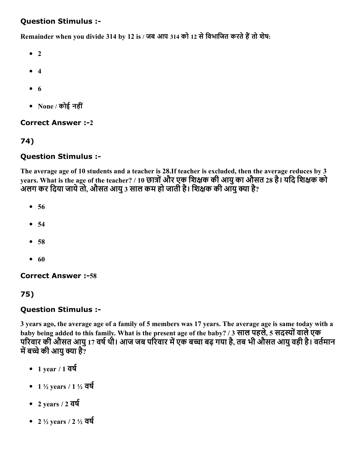## Question Stimulus :

Remainder when you divide 314 by 12 is / जब आप 314 को 12 से विभाजित करते हैं तो शेष:

- $\bullet$  2
- $4$
- $6$
- None / कोई नहीं

**Correct Answer :-2** 

# 74)

## Question Stimulus :

The average age of 10 students and a teacher is 28.If teacher is excluded, then the average reduces by 3 years. What is the age of the teacher? / 10 छात्रों और एक शिक्षक की आयु का औसत 28 है। यदि शिक्षक को अलग कर दिया जाये तो, औसत आयु 3 साल कम हो जाती है। शिक्षक की आयु क्या है?

- $56$
- $54$
- $58$
- $60$

**Correct Answer :-58** 

## 75)

## Question Stimulus :

3 years ago, the average age of a family of 5 members was 17 years. The average age is same today with a baby being added to this family. What is the present age of the baby? / 3 साल पहले, 5 सदस्यों वाले एक परिवार की औसत आयु 17 वर्ष थी। आज जब परिवार में एक बच्चा बढ़ गया है, तब भी औसत आयु वही है। वर्तमान में बच्चे की आयु क्या है?

- $-1$  year / 1 वर्ष
- $1\frac{1}{2}$  years /  $1\frac{1}{2}$  वर्ष
- $\bullet$  2 years / 2 वर्ष
- $2\frac{1}{2}$  years /  $2\frac{1}{2}$  वर्ष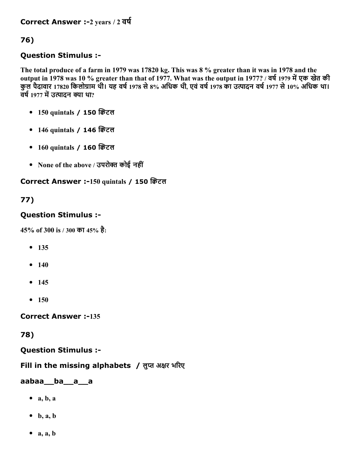76)

#### Question Stimulus :

The total produce of a farm in 1979 was 17820 kg. This was 8 % greater than it was in 1978 and the output in 1978 was 10 % greater than that of 1977. What was the output in 1977? / वर्ष 1979 में एक खेत की कुल पैदावार 17820 किलोग्राम थी। यह वर्ष 1978 से 8% अधिक थी, एवं वर्ष 1978 का उत्पादन वर्ष 1977 से 10% अधिक था। वर्ष 1977 में उत्पादन क्या था?

- 150 quintals / 150 क्विटल
- 146 quintals / 146 क्विटल
- 160 quintals / 160 क्विटल
- None of the above / उपरोक्त कोई नहीं

#### Correct Answer :-150 quintals / 150 क्विटल

## 77)

#### Question Stimulus :

45% of 300 is / 300 का 45% है:

- $135$
- $140$
- $145$
- $150$

**Correct Answer :-135** 

78)

Question Stimulus :

Fill in the missing alphabets / लुप्त अक्षर भरिए

# aabaa\_\_ba\_\_a\_\_a

- $\bullet$  a, b, a
- $\bullet$  b, a, b
- $\bullet$  a, a, b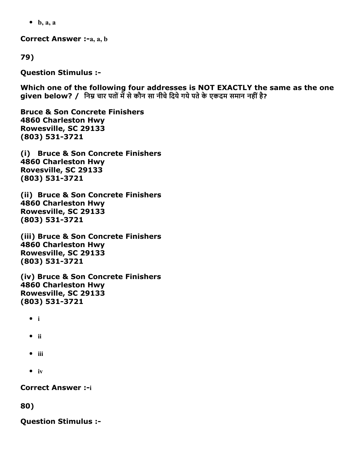$\bullet$  b, a, a

Correct Answer :-a, a, b

79)

Question Stimulus :

Which one of the following four addresses is NOT EXACTLY the same as the one given below? / निम्न चार पतों में से कौन सा नीचे दिये गये पते के एकदम समान नहीं है?

Bruce & Son Concrete Finishers 4860 Charleston Hwy Rowesville, SC 29133 (803) 531-3721

(i) Bruce & Son Concrete Finishers 4860 Charleston Hwy Rovesville, SC 29133 (803) 531-3721

(ii) Bruce & Son Concrete Finishers 4860 Charleston Hwy Rowesville, SC 29133 (803) 531-3721

(iii) Bruce & Son Concrete Finishers 4860 Charleston Hwy Rowesville, SC 29133 (803) 531-3721

(iv) Bruce & Son Concrete Finishers 4860 Charleston Hwy Rowesville, SC 29133 (803) 531-3721

- i
- ii
- $\bullet$  iii
- $\bullet$  iv

**Correct Answer :- i** 

80)

Question Stimulus :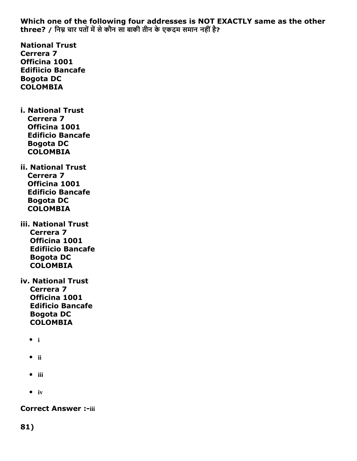Which one of the following four addresses is NOT EXACTLY same as the other three? / निम्न चार पतों में से कौन सा बाकी तीन के एकदम समान नहीं है?

National Trust Cerrera 7 Officina 1001 Edifiicio Bancafe Bogota DC COLOMBIA

- i. National Trust Cerrera 7 Officina 1001 Edificio Bancafe Bogota DC COLOMBIA
- ii. National Trust Cerrera 7 Officina 1001 Edificio Bancafe Bogota DC **COLOMBIA**
- iii. National Trust Cerrera 7 Officina 1001 Edifiicio Bancafe Bogota DC COLOMBIA
- iv. National Trust Cerrera 7 Officina 1001 Edificio Bancafe Bogota DC COLOMBIA
	- $\bullet$  i
	- ii
	- $\bullet$  iii
	- $\bullet$  iv

**Correct Answer :-iii** 

81)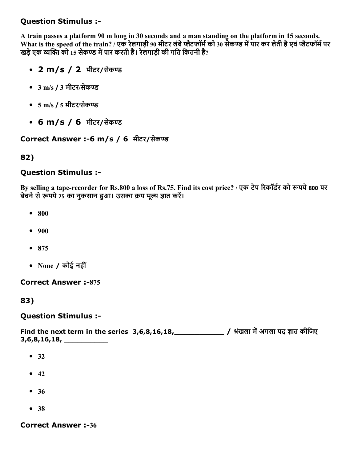### Question Stimulus :

A train passes a platform 90 m long in 30 seconds and a man standing on the platform in 15 seconds. What is the speed of the train? / एक रेलगाड़ी 90 मीटर लंबे प्लैटफॉर्म को 30 सेकण्ड में पार कर लेती है एवं प्लैटफॉर्म पर खड़े एक व्यक्ति को 15 सेकण्ड में पार करती है। रेलगाड़ी की गति कितनी है?

- 2 m/s / 2 मीटर/सेकण्ड
- $3 \text{ m/s}$  /  $3 \text{ m}$ टिर/सेकण्ड
- $5 \text{ m/s}$  /  $5 \text{ mT}$ र/सेकण्ड
- 6 m/s / 6 मीटर/सेकण्ड

#### Correct Answer :-6 m/s / 6 मीटर/सेकण्ड

#### 82)

#### Question Stimulus :

By selling a tape-recorder for Rs.800 a loss of Rs.75. Find its cost price? / एक टेप रिकॉर्डर को रूपये 800 पर बेचने से रूपये 75 का नुकसान हुआ। उसका क्रय मूल्य ज्ञात करें।

- $800$
- $900$
- 875
- None / कोई नहीं

**Correct Answer :-875** 

83)

#### Question Stimulus :

Find the next term in the series 3,6,8,16,18, \_\_\_\_\_\_\_\_\_\_\_\_\_\_ / श्रंखला में अगला पद ज्ञात कीजिए 3,6,8,16,18, \_\_\_\_\_\_\_\_\_\_

- $32$
- $42$
- 36
- $38$

**Correct Answer :-36**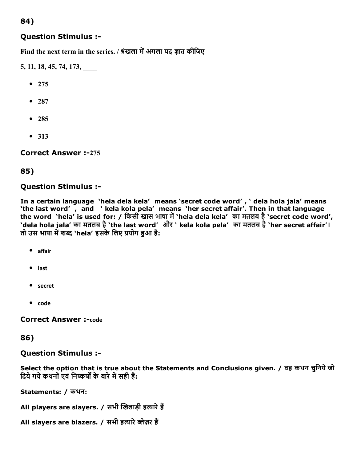#### 84)

#### Question Stimulus :

Find the next term in the series. / श्रंखला में अगला पद ज्ञात कीजिए

5, 11, 18, 45, 74, 173, \_\_\_\_

- $275$
- $287$
- 285
- 313

**Correct Answer :-275** 

#### 85)

#### Question Stimulus :

In a certain language 'hela dela kela' means 'secret code word' , ' dela hola jala' means 'the last word', and 'kela kola pela' means 'her secret affair'. Then in that language the word `hela' is used for: / किसी खास भाषा में `hela dela kela' का मतलब है `secret code word', 'dela hola jala' का मतलब है'the last word' और ' kela kola pela' का मतलब है'her secret affair'। तो उस भाषा में शब्द 'hela' इसके लिए प्रयोग हुआ है:

- affair
- **•** last
- secret
- code

**Correct Answer :-code** 

#### 86)

#### Question Stimulus :

Select the option that is true about the Statements and Conclusions given. / वह कथन चुनिये जो दिये गये कथनों एवं निष्कर्षों के बारे में सही हैं:

Statements: / कथन:

All players are slavers. / सभी खिलाडी हत्यारे हैं

```
All slayers are blazers. / सभी हत्यारे ब्लेज़र हैं
```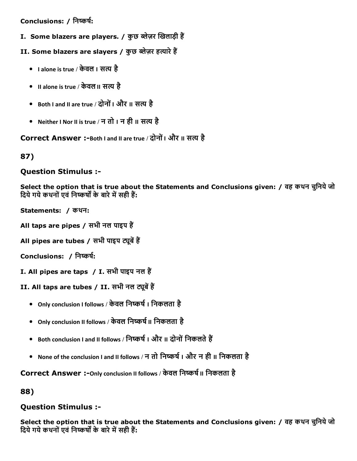Conclusions: / निष्कर्ष:

- I. Some blazers are players. / कुछ ब्लेज़र खिलाड़ी हैं
- II. Some blazers are slayers / कुछ ब्लेज़र हत्यारे हैं
	- I alone is true / केवल I सत्य है
	- II alone is true / केवल II सत्य है
	- Both I and II are true / दोनों I और II सत्य है
	- Neither I Nor II is true / न तो I न ही II सत्य है

Correct Answer :-Both I and II are true / दोनों I और II सत्य है

87)

#### Question Stimulus :

Select the option that is true about the Statements and Conclusions given: / वह कथन चुिनयेजो दिये गये कथनों एवं निष्कर्षों के बारे में सही हैं:

Statements: / कथन:

All taps are pipes / सभी नल पाइप हैं

All pipes are tubes / सभी पाइप ट्यूबें हैं

Conclusions: / निष्कर्ष:

I. All pipes are taps / I. सभी पाइप नल हैं

II. All taps are tubes / II. सभी नल ट्यूबें हैं

- Only conclusion I follows / केवल निष्कर्ष । निकलता है
- Only conclusion II follows / केवल निष्कर्ष II निकलता है
- Both conclusion I and II follows / निष्कर्ष । और II दोनों निकलते हैं
- None of the conclusion I and II follows / न तो निष्कर्ष I और न ही II निकलता है

Correct Answer :- Only conclusion II follows / केवल निष्कर्ष II निकलता है

88)

#### Question Stimulus :

Select the option that is true about the Statements and Conclusions given: / वह कथन चुनिये जो दिये गये कथनों एवं निष्कर्षों के बारे में सही हैं: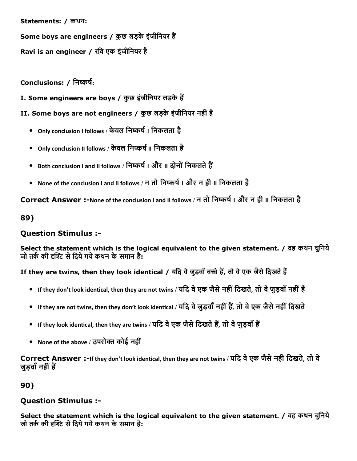Statements: / कथन:

Some boys are engineers / कुछ लड़के इंजीनियर हैं

Ravi is an engineer / रिव एक इंजीिनयर है

Conclusions: / निष्कर्षः

I. Some engineers are boys / कुछ इंजीनियर लड़के हैं

II. Some boys are not engineers / कुछ लड़के इंजीनियर नहीं हैं

- Only conclusion I follows / केवल निष्कर्ष । निकलता है
- Only conclusion II follows / केवल निष्कर्ष II निकलता है
- Both conclusion I and II follows / निष्कर्ष I और II दोनों निकलते हैं
- None of the conclusion I and II follows / न तो निष्कर्ष I और न ही II निकलता है

Correct Answer :-None of the conclusion I and II follows / न तो निष्कर्ष । और न ही II निकलता है

89)

## Question Stimulus :

Select the statement which is the logical equivalent to the given statement. / वह कथन चुनिये जो तर्क की दृश्टि से दिये गये कथन के समान है:

If they are twins, then they look identical / यदि वे जुड़वाँ बच्चे हैं, तो वे एक जैसे दिखते हैं

- If they don't look identical, then they are not twins / यदि वे एक जैसे नहीं दिखते, तो वे जुड़वाँ नहीं हैं
- If they are not twins, then they don't look identical / यदि वे जुड़वाँ नहीं हैं, तो वे एक जैसे नहीं दिखते
- If they look identical, then they are twins / यदि वे एक जैसे दिखते हैं, तो वे जुड़वाँ हैं
- None of the above / उपरोक्त कोई नहीं

Correct Answer :-If they don't look identical, then they are not twins / यदि वे एक जैसे नहीं दिखते, तो वे जुडवाँ नहीं हैं

90)

## Question Stimulus :

Select the statement which is the logical equivalent to the given statement. / वह कथन चुनिये जो तर्क की दृश्टि से दिये गये कथन के समान है: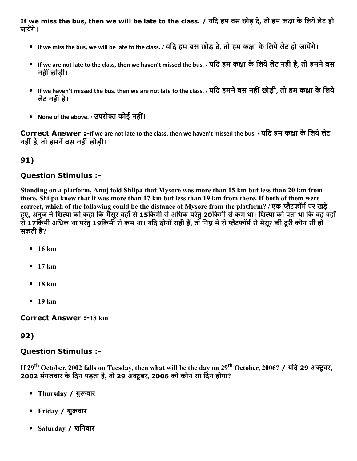If we miss the bus, then we will be late to the class. / यदि हम बस छोड़ दे, तो हम कक्षा के लिये लेट हो जायेंगे।

- If we miss the bus, we will be late to the class. / यदि हम बस छोड़ दे, तो हम कक्षा के लिये लेट हो जायेंगे।
- If we are not late to the class, then we haven't missed the bus. / यदि हम कक्षा के लिये लेट नहीं हैं, तो हमनें बस नहींछोड़ी।
- If we haven't missed the bus, then we are not late to the class. / यदि हमनें बस नहीं छोड़ी, तो हम कक्षा के लिये लेट नहीं है।
- None of the above. / उपरोक्त कोई नहीं।

Correct Answer :-If we are not late to the class, then we haven't missed the bus. / यदि हम कक्षा के लिये लेट नहीं हैं, तो हमनें बस नहीं छोड़ी।

## 91)

## Question Stimulus :

Standing on a platform, Anuj told Shilpa that Mysore was more than 15 km but less than 20 km from there. Shilpa knew that it was more than 17 km but less than 19 km from there. If both of them were correct, which of the following could be the distance of Mysore from the platform? / एक प्लैटफॉर्म पर खड़े हए, अनुज ने शिल्पा को कहा कि मैसूर वहाँ से 15किमी से अधिक परंतु 20किमी से कम था। शिल्पा को पता था कि वह वहाँ से 17किमी अधिक था परंतु 19किमी से कम था। यदि दोनों सही हैं, तो निम्न में से प्लैटफॉर्म से मैसुर की दूरी कौन सी हो सकती है?

- $\bullet$  16 km
- $\bullet$  17 km
- $18 km$
- $-19 km$

**Correct Answer :-18 km** 

92)

## Question Stimulus :

If 29<sup>th</sup> October, 2002 falls on Tuesday, then what will be the day on 29<sup>th</sup> October, 2006? / यदि 29 अक्टूबर, 2002 मंगलवार के दिन पड़ता है, तो 29 अक्टबर, 2006 को कौन सा दिन होगा?

- Thursday / गुरूवार
- Friday / शुक्रवार
- Saturday / शिनवार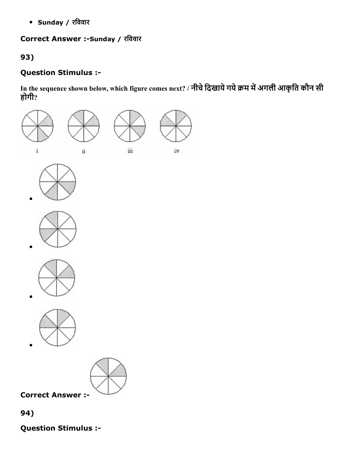Sunday / रिववार

Correct Answer :-Sunday / रविवार

93)

# Question Stimulus :

In the sequence shown below, which figure comes next? / नीचे दिखाये गये क्रम में अगली आकृति कौन सी होगी?













Correct Answer :

94)

Question Stimulus :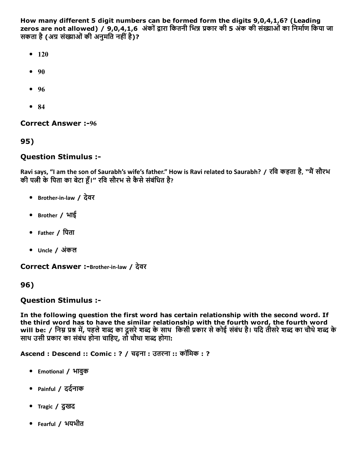How many different 5 digit numbers can be formed form the digits 9,0,4,1,6? (Leading zeros are not allowed) / 9,0,4,1,6 अंकों द्वारा कितनी भिन्न प्रकार की 5 अंक की संख्याओं का निर्माण किया जा सकता है (अग्र संख्याओं की अनुमति नहीं है)?

- $120$
- $90$
- 96
- $84$

**Correct Answer :-96** 

95)

#### Question Stimulus :

Ravi says, "I am the son of Saurabh's wife's father." How is Ravi related to Saurabh? / रवि कहता है, "मैं सौरभ की पत्नी के पिता का बेटा हैं।" रवि सौरभ से कैसे संबंधित है?

- Brother‐in‐law / देवर
- Brother / भाई
- Father / िपता
- Uncle / अंकल

Correct Answer :-Brother-in-law / देवर

96)

#### Question Stimulus :

In the following question the first word has certain relationship with the second word. If the third word has to have the similar relationship with the fourth word, the fourth word will be: / निम्न प्रश्न में, पहले शब्द का दूसरे शब्द के साथ किसी प्रकार से कोई संबंध है। यदि तीसरे शब्द का चौथे शब्द के साथ उसी प्रकार का संबंध होना चाहिए, तो चौथा शब्द होगा:

Ascend : Descend :: Comic : ? / चढ़ना : उतरना :: कॉिमक : ?

- Emoĕonal / भावुक
- Painful / दर्दनाक
- Tragic / दुखद
- Fearful / भयभीत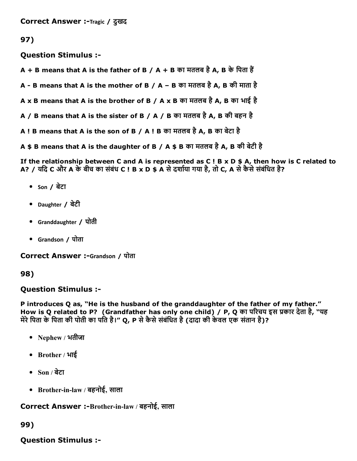Correct Answer :-Tragic / दुखद

97)

Question Stimulus :

 $A + B$  means that A is the father of B / A + B का मतलब है A, B के पिता हैं

A - B means that A is the mother of B / A – B का मतलब है A, B की माता है

A x B means that A is the brother of B / A x B का मतलब है A, B का भाई है

A / B means that A is the sister of B / A / B का मतलब है A, B की बहन है

A ! B means that A is the son of B / A ! B का मतलब है A, B का बेटा है

A \$ B means that A is the daughter of B / A \$ B का मतलब है A, B की बेटी है

If the relationship between C and A is represented as C ! B x D  $\frac{1}{2}$  A, then how is C related to A? / यदि C और A के बीच का संबंध C ! B x D \$ A से दर्शाया गया है, तो C, A से कैसे संबंधित है?

- $\bullet$  son / बेटा
- Daughter / बेटी
- Granddaughter / पोती
- Grandson / पोता

Correct Answer :-Grandson / पोता

98)

### Question Stimulus :

P introduces Q as, "He is the husband of the granddaughter of the father of my father." How is Q related to P? (Grandfather has only one child) / P, Q का परिचय इस प्रकार देता है, "यह मेरे पिता के पिता की पोती का पति है।" Q, P से कैसे संबंधित है (दादा की केवल एक संतान है)?

- Nephew / भतीजा
- Brother / भाई
- Son / बेटा
- Brotherinlaw / बहनोई, साला

Correct Answer :-Brother-in-law / बहनोई, साला

99)

## Question Stimulus :